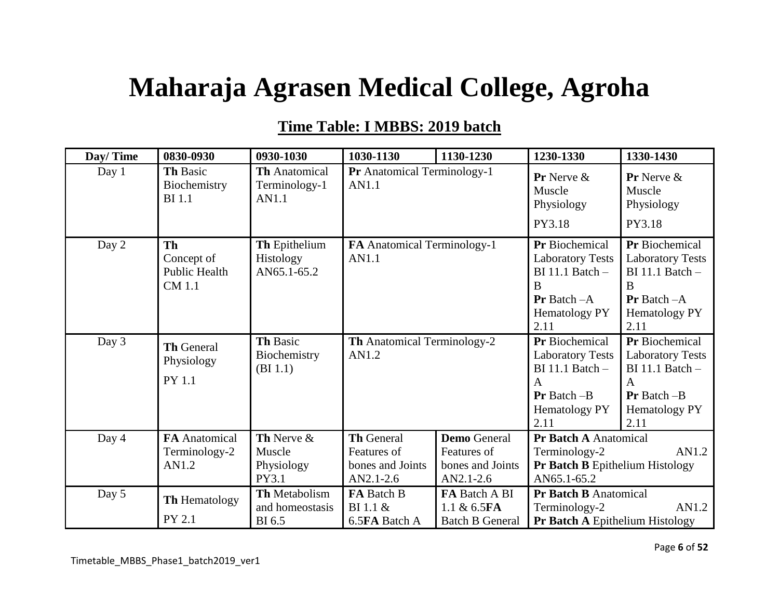## **Maharaja Agrasen Medical College, Agroha**

## **Time Table: I MBBS: 2019 batch**

| Day/Time | 0830-0930                                                 | 0930-1030                                        | 1030-1130                                                                                                                                    | 1130-1230                                                 | 1230-1330                                                                                                                     | 1330-1430                                                                                                              |
|----------|-----------------------------------------------------------|--------------------------------------------------|----------------------------------------------------------------------------------------------------------------------------------------------|-----------------------------------------------------------|-------------------------------------------------------------------------------------------------------------------------------|------------------------------------------------------------------------------------------------------------------------|
| Day 1    | Th Basic<br>Biochemistry<br><b>BI</b> 1.1                 | <b>Th</b> Anatomical<br>Terminology-1<br>AN1.1   | Pr Anatomical Terminology-1<br>AN1.1                                                                                                         |                                                           | <b>Pr</b> Nerve $\&$<br>Muscle<br>Physiology                                                                                  | Pr Nerve &<br>Muscle<br>Physiology                                                                                     |
|          |                                                           |                                                  |                                                                                                                                              |                                                           | PY3.18                                                                                                                        | PY3.18                                                                                                                 |
| Day 2    | <b>Th</b><br>Concept of<br><b>Public Health</b><br>CM 1.1 | Th Epithelium<br><b>Histology</b><br>AN65.1-65.2 | FA Anatomical Terminology-1<br>AN1.1                                                                                                         |                                                           | <b>Pr</b> Biochemical<br><b>Laboratory Tests</b><br>$BI$ 11.1 Batch $-$<br>B<br><b>Pr</b> Batch $-A$<br>Hematology PY<br>2.11 | Pr Biochemical<br><b>Laboratory Tests</b><br>$BI$ 11.1 Batch $-$<br>B<br><b>Pr</b> Batch $-A$<br>Hematology PY<br>2.11 |
| Day 3    | <b>Th General</b><br>Physiology<br>PY 1.1                 | Th Basic<br>Biochemistry<br>(BI 1.1)             | <b>Th</b> Anatomical Terminology-2<br>AN1.2                                                                                                  |                                                           | Pr Biochemical<br><b>Laboratory Tests</b><br>$BI$ 11.1 Batch $-$<br>$\mathsf{A}$<br>$Pr$ Batch $-B$<br>Hematology PY<br>2.11  | Pr Biochemical<br><b>Laboratory Tests</b><br>$BI$ 11.1 Batch $-$<br>A<br>$Pr$ Batch $-B$<br>Hematology PY<br>2.11      |
| Day 4    | <b>FA</b> Anatomical<br>Terminology-2<br>AN1.2            | Th Nerve &<br>Muscle<br>Physiology<br>PY3.1      | <b>Th General</b><br><b>Demo</b> General<br>Features of<br>Features of<br>bones and Joints<br>bones and Joints<br>$AN2.1-2.6$<br>$AN2.1-2.6$ |                                                           | Pr Batch A Anatomical<br>Terminology-2<br><b>Pr Batch B Epithelium Histology</b><br>AN65.1-65.2                               | AN1.2                                                                                                                  |
| Day 5    | <b>Th Hematology</b><br>PY 2.1                            | Th Metabolism<br>and homeostasis<br>BI 6.5       | FA Batch B<br>BI 1.1 $\&$<br>6.5FA Batch A                                                                                                   | FA Batch A BI<br>1.1 $\& 6.5FA$<br><b>Batch B General</b> | <b>Pr Batch B Anatomical</b><br>Terminology-2<br><b>Pr Batch A Epithelium Histology</b>                                       | AN1.2                                                                                                                  |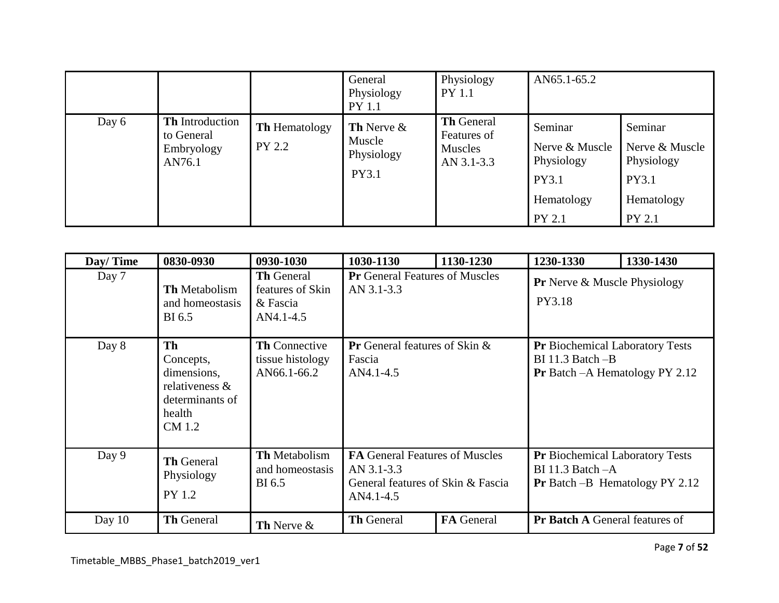|       |                                                              |                                       | General<br>Physiology<br><b>PY</b> 1.1                | Physiology<br><b>PY 1.1</b>                               | AN65.1-65.2                                                              |                                                                          |
|-------|--------------------------------------------------------------|---------------------------------------|-------------------------------------------------------|-----------------------------------------------------------|--------------------------------------------------------------------------|--------------------------------------------------------------------------|
| Day 6 | <b>Th</b> Introduction<br>to General<br>Embryology<br>AN76.1 | <b>Th</b> Hematology<br><b>PY 2.2</b> | <b>Th</b> Nerve $\&$<br>Muscle<br>Physiology<br>PY3.1 | <b>Th General</b><br>Features of<br>Muscles<br>AN 3.1-3.3 | Seminar<br>Nerve & Muscle<br>Physiology<br>PY3.1<br>Hematology<br>PY 2.1 | Seminar<br>Nerve & Muscle<br>Physiology<br>PY3.1<br>Hematology<br>PY 2.1 |

| Day/Time | 0830-0930                                                                                      | 0930-1030                                                      | 1030-1130                                                                                      | 1130-1230         | 1230-1330                                                                                                 | 1330-1430 |
|----------|------------------------------------------------------------------------------------------------|----------------------------------------------------------------|------------------------------------------------------------------------------------------------|-------------------|-----------------------------------------------------------------------------------------------------------|-----------|
| Day 7    | Th Metabolism<br>and homeostasis<br>BI 6.5                                                     | <b>Th</b> General<br>features of Skin<br>& Fascia<br>AN4.1-4.5 | <b>Pr</b> General Features of Muscles<br>AN 3.1-3.3                                            |                   | <b>Pr</b> Nerve & Muscle Physiology<br>PY3.18                                                             |           |
| Day 8    | <b>Th</b><br>Concepts,<br>dimensions,<br>relativeness &<br>determinants of<br>health<br>CM 1.2 | <b>Th Connective</b><br>tissue histology<br>AN66.1-66.2        | Pr General features of Skin &<br>Fascia<br>AN4.1-4.5                                           |                   | <b>Pr</b> Biochemical Laboratory Tests<br>$BI$ 11.3 Batch $-B$<br><b>Pr</b> Batch $-A$ Hematology PY 2.12 |           |
| Day 9    | <b>Th General</b><br>Physiology<br>PY 1.2                                                      | <b>Th Metabolism</b><br>and homeostasis<br>BI 6.5              | FA General Features of Muscles<br>AN 3.1-3.3<br>General features of Skin & Fascia<br>AN4.1-4.5 |                   | Pr Biochemical Laboratory Tests<br>BI 11.3 Batch $-A$<br><b>Pr</b> Batch $-B$ Hematology PY 2.12          |           |
| Day $10$ | <b>Th General</b>                                                                              | Th Nerve &                                                     | <b>Th General</b>                                                                              | <b>FA</b> General | Pr Batch A General features of                                                                            |           |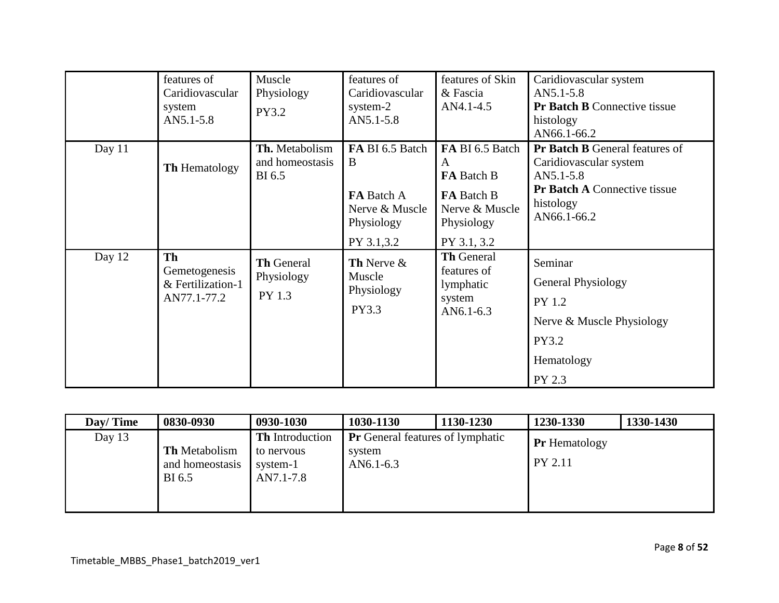|          | features of<br>Caridiovascular<br>system<br>AN5.1-5.8          | Muscle<br>Physiology<br>PY3.2                    | features of<br>Caridiovascular<br>system-2<br>$AN5.1 - 5.8$               | features of Skin<br>& Fascia<br>AN4.1-4.5                                               | Caridiovascular system<br>$AN5.1 - 5.8$<br><b>Pr Batch B Connective tissue</b><br>histology<br>AN66.1-66.2                                          |
|----------|----------------------------------------------------------------|--------------------------------------------------|---------------------------------------------------------------------------|-----------------------------------------------------------------------------------------|-----------------------------------------------------------------------------------------------------------------------------------------------------|
| Day $11$ | <b>Th Hematology</b>                                           | Th. Metabolism<br>and homeostasis<br>BI 6.5      | FA BI 6.5 Batch<br>B<br><b>FA</b> Batch A<br>Nerve & Muscle<br>Physiology | FA BI 6.5 Batch<br>A<br>FA Batch B<br><b>FA</b> Batch B<br>Nerve & Muscle<br>Physiology | <b>Pr Batch B General features of</b><br>Caridiovascular system<br>$AN5.1 - 5.8$<br><b>Pr Batch A Connective tissue</b><br>histology<br>AN66.1-66.2 |
| Day 12   | <b>Th</b><br>Gemetogenesis<br>& Fertilization-1<br>AN77.1-77.2 | <b>Th General</b><br>Physiology<br><b>PY 1.3</b> | PY 3.1,3.2<br>Th Nerve &<br>Muscle<br>Physiology<br>PY3.3                 | PY 3.1, 3.2<br><b>Th General</b><br>features of<br>lymphatic<br>system<br>$AN6.1-6.3$   | Seminar<br><b>General Physiology</b><br>PY 1.2<br>Nerve & Muscle Physiology<br><b>PY3.2</b><br>Hematology<br>PY 2.3                                 |

| Day/Time | 0830-0930                                         | 0930-1030                                                     | 1030-1130                                                           | 1130-1230 | 1230-1330                              | 1330-1430 |
|----------|---------------------------------------------------|---------------------------------------------------------------|---------------------------------------------------------------------|-----------|----------------------------------------|-----------|
| Day $13$ | <b>Th</b> Metabolism<br>and homeostasis<br>BI 6.5 | <b>Th</b> Introduction<br>to nervous<br>system-1<br>AN7.1-7.8 | <b>Pr</b> General features of lymphatic<br>system<br>AN $6.1 - 6.3$ |           | <b>Pr</b> Hematology<br><b>PY 2.11</b> |           |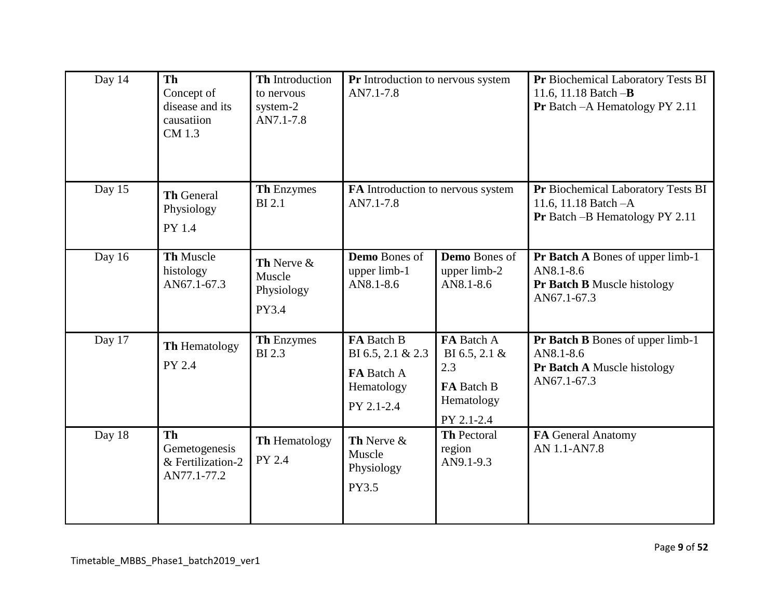| Day 14 | <b>Th</b><br>Concept of<br>disease and its<br>causatiion<br>CM 1.3 | Th Introduction<br>to nervous<br>system-2<br>AN7.1-7.8 | Pr Introduction to nervous system<br>AN7.1-7.8                            |                                                                                 | Pr Biochemical Laboratory Tests BI<br>11.6, 11.18 Batch $-B$<br>Pr Batch - A Hematology PY 2.11 |
|--------|--------------------------------------------------------------------|--------------------------------------------------------|---------------------------------------------------------------------------|---------------------------------------------------------------------------------|-------------------------------------------------------------------------------------------------|
| Day 15 | <b>Th General</b><br>Physiology<br>PY 1.4                          | <b>Th Enzymes</b><br><b>BI2.1</b>                      | FA Introduction to nervous system<br>AN7.1-7.8                            |                                                                                 | Pr Biochemical Laboratory Tests BI<br>11.6, 11.18 Batch $-A$<br>Pr Batch - B Hematology PY 2.11 |
| Day 16 | Th Muscle<br>histology<br>AN67.1-67.3                              | Th Nerve &<br>Muscle<br>Physiology<br>PY3.4            | <b>Demo</b> Bones of<br>upper limb-1<br>AN8.1-8.6                         | <b>Demo</b> Bones of<br>upper limb-2<br>AN8.1-8.6                               | Pr Batch A Bones of upper limb-1<br>AN8.1-8.6<br>Pr Batch B Muscle histology<br>AN67.1-67.3     |
| Day 17 | Th Hematology<br><b>PY 2.4</b>                                     | <b>Th Enzymes</b><br><b>BI2.3</b>                      | FA Batch B<br>BI 6.5, 2.1 & 2.3<br>FA Batch A<br>Hematology<br>PY 2.1-2.4 | FA Batch A<br>BI 6.5, 2.1 $\&$<br>2.3<br>FA Batch B<br>Hematology<br>PY 2.1-2.4 | Pr Batch B Bones of upper limb-1<br>AN8.1-8.6<br>Pr Batch A Muscle histology<br>AN67.1-67.3     |
| Day 18 | <b>Th</b><br>Gemetogenesis<br>& Fertilization-2<br>AN77.1-77.2     | <b>Th Hematology</b><br>PY 2.4                         | Th Nerve &<br>Muscle<br>Physiology<br>PY3.5                               | <b>Th Pectoral</b><br>region<br>AN9.1-9.3                                       | FA General Anatomy<br>AN 1.1-AN7.8                                                              |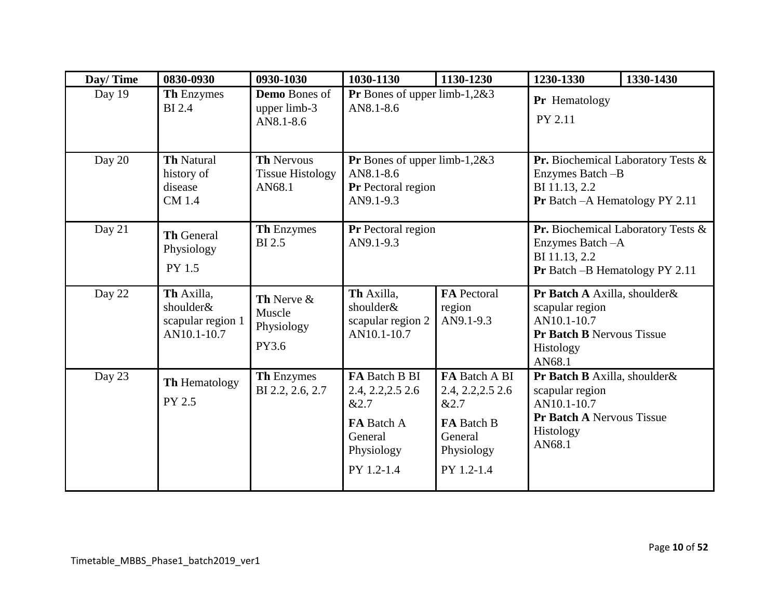| Day/Time | 0830-0930                                                   | 0930-1030                                              | 1030-1130                                                                                              | 1130-1230                                                                                       | 1230-1330                                                                                                          | 1330-1430                                    |
|----------|-------------------------------------------------------------|--------------------------------------------------------|--------------------------------------------------------------------------------------------------------|-------------------------------------------------------------------------------------------------|--------------------------------------------------------------------------------------------------------------------|----------------------------------------------|
| Day 19   | Th Enzymes<br><b>BI2.4</b>                                  | <b>Demo</b> Bones of<br>upper limb-3<br>AN8.1-8.6      | <b>Pr</b> Bones of upper limb-1,2&3<br>AN8.1-8.6                                                       |                                                                                                 | Pr Hematology<br>PY 2.11                                                                                           |                                              |
| Day 20   | <b>Th Natural</b><br>history of<br>disease<br><b>CM</b> 1.4 | <b>Th Nervous</b><br><b>Tissue Histology</b><br>AN68.1 | <b>Pr</b> Bones of upper limb-1,2&3<br>AN8.1-8.6<br>Pr Pectoral region<br>AN9.1-9.3                    |                                                                                                 | Enzymes Batch -B<br>BI 11.13, 2.2<br>Pr Batch - A Hematology PY 2.11                                               | <b>Pr.</b> Biochemical Laboratory Tests $\&$ |
| Day 21   | <b>Th General</b><br>Physiology<br>PY 1.5                   | <b>Th Enzymes</b><br><b>BI2.5</b>                      | <b>Pr</b> Pectoral region<br>AN9.1-9.3                                                                 |                                                                                                 | Enzymes Batch-A<br>BI 11.13, 2.2<br>Pr Batch - B Hematology PY 2.11                                                | Pr. Biochemical Laboratory Tests &           |
| Day 22   | Th Axilla,<br>shoulder&<br>scapular region 1<br>AN10.1-10.7 | Th Nerve &<br>Muscle<br>Physiology<br>PY3.6            | Th Axilla,<br>shoulder&<br>scapular region 2<br>AN10.1-10.7                                            | <b>FA</b> Pectoral<br>region<br>AN9.1-9.3                                                       | Pr Batch A Axilla, shoulder&<br>scapular region<br>AN10.1-10.7<br>Pr Batch B Nervous Tissue<br>Histology<br>AN68.1 |                                              |
| Day 23   | Th Hematology<br>PY 2.5                                     | Th Enzymes<br>BI 2.2, 2.6, 2.7                         | FA Batch B BI<br>2.4, 2.2, 2.5 2.6<br>&2.7<br><b>FA</b> Batch A<br>General<br>Physiology<br>PY 1.2-1.4 | FA Batch A BI<br>2.4, 2.2, 2.5 2.6<br>&2.7<br>FA Batch B<br>General<br>Physiology<br>PY 1.2-1.4 | Pr Batch B Axilla, shoulder&<br>scapular region<br>AN10.1-10.7<br>Pr Batch A Nervous Tissue<br>Histology<br>AN68.1 |                                              |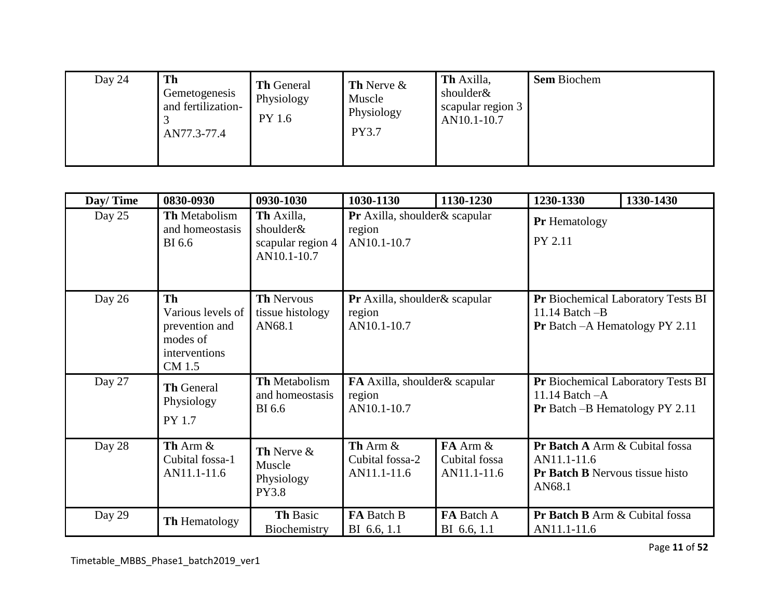| Day 24 | Th<br>Gemetogenesis<br>and fertilization-<br>AN77.3-77.4 | <b>Th</b> General<br>Physiology<br>PY 1.6 | <b>Th</b> Nerve $\&$<br>Muscle<br>Physiology<br><b>PY3.7</b> | Th Axilla,<br>shoulder&<br>scapular region 3<br>AN10.1-10.7 | <b>Sem Biochem</b> |
|--------|----------------------------------------------------------|-------------------------------------------|--------------------------------------------------------------|-------------------------------------------------------------|--------------------|
|--------|----------------------------------------------------------|-------------------------------------------|--------------------------------------------------------------|-------------------------------------------------------------|--------------------|

| Day/Time | 0830-0930                                                                        | 0930-1030                                                   | 1030-1130                                               | 1130-1230                                     | 1230-1330                                                                                         | 1330-1430                                 |
|----------|----------------------------------------------------------------------------------|-------------------------------------------------------------|---------------------------------------------------------|-----------------------------------------------|---------------------------------------------------------------------------------------------------|-------------------------------------------|
| Day 25   | <b>Th</b> Metabolism<br>and homeostasis<br><b>BI</b> 6.6                         | Th Axilla,<br>shoulder&<br>scapular region 4<br>AN10.1-10.7 | Pr Axilla, shoulder & scapular<br>region<br>AN10.1-10.7 |                                               | Pr Hematology<br>PY 2.11                                                                          |                                           |
| Day 26   | Th<br>Various levels of<br>prevention and<br>modes of<br>interventions<br>CM 1.5 | <b>Th Nervous</b><br>tissue histology<br>AN68.1             | Pr Axilla, shoulder & scapular<br>region<br>AN10.1-10.7 |                                               | 11.14 Batch $-B$<br><b>Pr</b> Batch $-A$ Hematology PY 2.11                                       | <b>Pr</b> Biochemical Laboratory Tests BI |
| Day 27   | <b>Th General</b><br>Physiology<br>PY 1.7                                        | Th Metabolism<br>and homeostasis<br><b>BI</b> 6.6           | FA Axilla, shoulder & scapular<br>region<br>AN10.1-10.7 |                                               | 11.14 Batch - A<br><b>Pr</b> Batch $-B$ Hematology PY 2.11                                        | Pr Biochemical Laboratory Tests BI        |
| Day 28   | Th Arm &<br>Cubital fossa-1<br>AN11.1-11.6                                       | Th Nerve &<br>Muscle<br>Physiology<br><b>PY3.8</b>          | Th Arm $\&$<br>Cubital fossa-2<br>AN11.1-11.6           | $FA$ Arm $\&$<br>Cubital fossa<br>AN11.1-11.6 | Pr Batch A Arm & Cubital fossa<br>AN11.1-11.6<br><b>Pr Batch B</b> Nervous tissue histo<br>AN68.1 |                                           |
| Day 29   | <b>Th Hematology</b>                                                             | Th Basic<br>Biochemistry                                    | FA Batch B<br>BI 6.6, 1.1                               | FA Batch A<br>BI 6.6, 1.1                     | Pr Batch B Arm & Cubital fossa<br>AN11.1-11.6                                                     |                                           |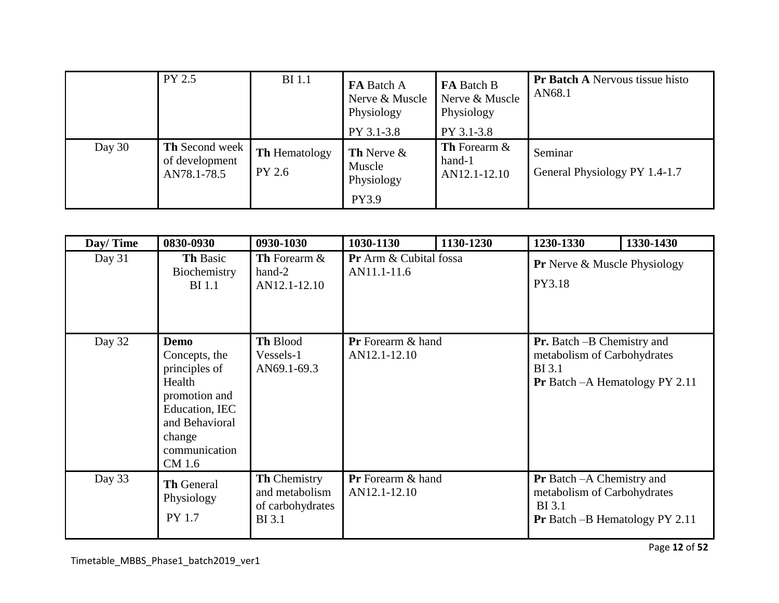|          | <b>PY 2.5</b>                                          | <b>BI</b> 1.1                  | FA Batch A<br>Nerve & Muscle<br>Physiology<br>PY 3.1-3.8 | FA Batch B<br>Nerve & Muscle<br>Physiology<br>PY 3.1-3.8 | <b>Pr Batch A Nervous tissue histo</b><br>AN68.1 |
|----------|--------------------------------------------------------|--------------------------------|----------------------------------------------------------|----------------------------------------------------------|--------------------------------------------------|
| Day $30$ | <b>Th</b> Second week<br>of development<br>AN78.1-78.5 | <b>Th</b> Hematology<br>PY 2.6 | <b>Th</b> Nerve $\&$<br>Muscle<br>Physiology<br>PY3.9    | <b>Th</b> Forearm $\&$<br>hand-1<br>AN12.1-12.10         | Seminar<br>General Physiology PY 1.4-1.7         |

| Day/Time | 0830-0930                                                                                                                                         | 0930-1030                                                                  | 1030-1130                                | 1130-1230 | 1230-1330                                                                                                                   | 1330-1430 |
|----------|---------------------------------------------------------------------------------------------------------------------------------------------------|----------------------------------------------------------------------------|------------------------------------------|-----------|-----------------------------------------------------------------------------------------------------------------------------|-----------|
| Day 31   | <b>Th Basic</b><br>Biochemistry<br><b>BI</b> 1.1                                                                                                  | Th Forearm &<br>hand-2<br>AN12.1-12.10                                     | Pr Arm & Cubital fossa<br>AN11.1-11.6    |           | <b>Pr</b> Nerve & Muscle Physiology<br>PY3.18                                                                               |           |
| Day 32   | <b>Demo</b><br>Concepts, the<br>principles of<br>Health<br>promotion and<br>Education, IEC<br>and Behavioral<br>change<br>communication<br>CM 1.6 | Th Blood<br>Vessels-1<br>AN69.1-69.3                                       | <b>Pr</b> Forearm & hand<br>AN12.1-12.10 |           | <b>Pr.</b> Batch –B Chemistry and<br>metabolism of Carbohydrates<br><b>BI</b> 3.1<br>Pr Batch - A Hematology PY 2.11        |           |
| Day 33   | <b>Th General</b><br>Physiology<br>PY 1.7                                                                                                         | <b>Th Chemistry</b><br>and metabolism<br>of carbohydrates<br><b>BI</b> 3.1 | <b>Pr</b> Forearm & hand<br>AN12.1-12.10 |           | <b>Pr</b> Batch -A Chemistry and<br>metabolism of Carbohydrates<br><b>BI</b> 3.1<br><b>Pr</b> Batch $-B$ Hematology PY 2.11 |           |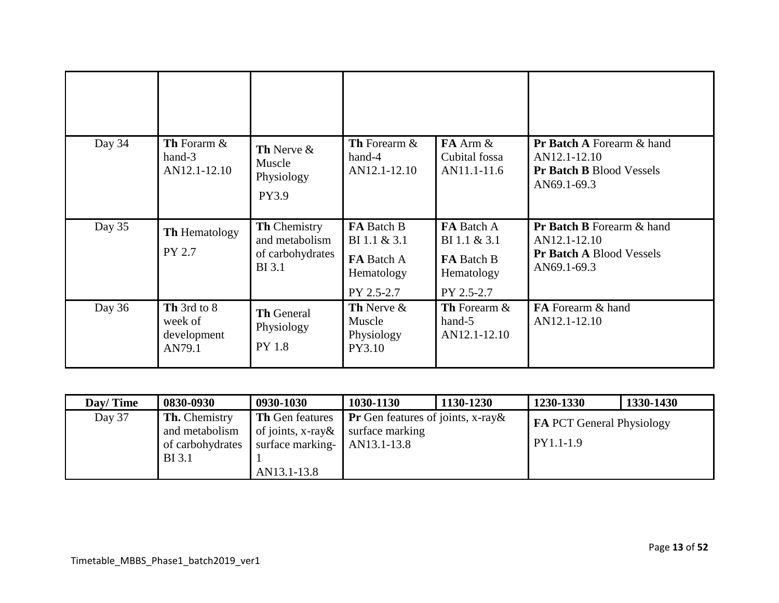| Day 34 | Th Forarm &<br>$hand-3$<br>AN12.1-12.10         | Th Nerve &<br>Muscle<br>Physiology<br>PY3.9                                | <b>Th</b> Forearm &<br>hand-4<br>AN12.1-12.10      | $FA$ Arm $\&$<br>Cubital fossa<br>AN11.1-11.6   | <b>Pr Batch A Forearm &amp; hand</b><br>AN12.1-12.10<br><b>Pr Batch B Blood Vessels</b><br>AN69.1-69.3 |
|--------|-------------------------------------------------|----------------------------------------------------------------------------|----------------------------------------------------|-------------------------------------------------|--------------------------------------------------------------------------------------------------------|
| Day 35 | <b>Th Hematology</b><br>PY 2.7                  | <b>Th Chemistry</b><br>and metabolism<br>of carbohydrates<br><b>BI</b> 3.1 | FA Batch B<br>$BI 1.1 \& 3.1$<br><b>FA</b> Batch A | FA Batch A<br>BI 1.1 & 3.1<br><b>FA</b> Batch B | Pr Batch B Forearm & hand<br>AN12.1-12.10<br><b>Pr Batch A Blood Vessels</b><br>AN69.1-69.3            |
|        |                                                 |                                                                            | Hematology<br>PY 2.5-2.7                           | Hematology<br>PY 2.5-2.7                        |                                                                                                        |
| Day 36 | Th 3rd to 8<br>week of<br>development<br>AN79.1 | <b>Th General</b><br>Physiology<br>PY 1.8                                  | Th Nerve &<br>Muscle<br>Physiology<br>PY3.10       | <b>Th</b> Forearm &<br>hand-5<br>AN12.1-12.10   | FA Forearm & hand<br>AN12.1-12.10                                                                      |

| Day/Time | 0830-0930                                                                   | 0930-1030                                                                                                      | 1030-1130                                    | 1130-1230 | 1230-1330                                     | 1330-1430 |
|----------|-----------------------------------------------------------------------------|----------------------------------------------------------------------------------------------------------------|----------------------------------------------|-----------|-----------------------------------------------|-----------|
| Day 37   | <b>Th.</b> Chemistry<br>and metabolism<br>of carbohydrates<br><b>BI</b> 3.1 | <b>Th</b> Gen features<br>of joints, x-ray $\&$ surface marking<br>surface marking- AN13.1-13.8<br>AN13.1-13.8 | <b>Pr</b> Gen features of joints, x-ray $\&$ |           | <b>FA PCT General Physiology</b><br>PY1.1-1.9 |           |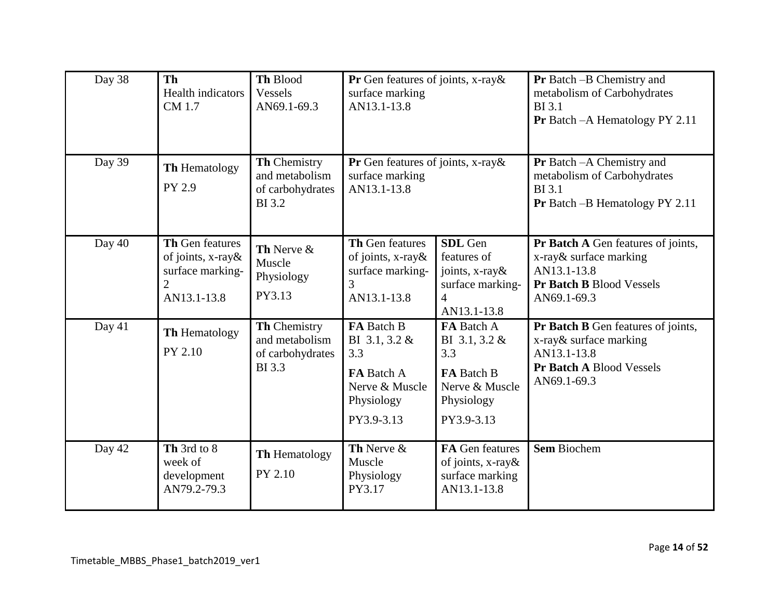| Day 38 | <b>Th</b><br>Health indicators<br>CM 1.7                                                         | Th Blood<br>Vessels<br>AN69.1-69.3                                  | Pr Gen features of joints, x-ray&<br>surface marking<br>AN13.1-13.8                                   |                                                                                                          | <b>Pr</b> Batch -B Chemistry and<br>metabolism of Carbohydrates<br><b>BI</b> 3.1<br>Pr Batch - A Hematology PY 2.11     |
|--------|--------------------------------------------------------------------------------------------------|---------------------------------------------------------------------|-------------------------------------------------------------------------------------------------------|----------------------------------------------------------------------------------------------------------|-------------------------------------------------------------------------------------------------------------------------|
| Day 39 | Th Hematology<br>PY 2.9                                                                          | Th Chemistry<br>and metabolism<br>of carbohydrates<br><b>BI3.2</b>  | Pr Gen features of joints, x-ray&<br>surface marking<br>AN13.1-13.8                                   |                                                                                                          | Pr Batch - A Chemistry and<br>metabolism of Carbohydrates<br><b>BI</b> 3.1<br>Pr Batch -B Hematology PY 2.11            |
| Day 40 | <b>Th Gen features</b><br>of joints, x-ray&<br>surface marking-<br>$\overline{2}$<br>AN13.1-13.8 | Th Nerve &<br>Muscle<br>Physiology<br>PY3.13                        | Th Gen features<br>of joints, x-ray&<br>surface marking-<br>3<br>AN13.1-13.8                          | <b>SDL</b> Gen<br>features of<br>joints, $x$ -ray &<br>surface marking-<br>$\overline{4}$<br>AN13.1-13.8 | Pr Batch A Gen features of joints,<br>x-ray & surface marking<br>AN13.1-13.8<br>Pr Batch B Blood Vessels<br>AN69.1-69.3 |
| Day 41 | <b>Th Hematology</b><br>PY 2.10                                                                  | Th Chemistry<br>and metabolism<br>of carbohydrates<br><b>BI</b> 3.3 | FA Batch B<br>BI 3.1, 3.2 &<br>3.3<br><b>FA</b> Batch A<br>Nerve & Muscle<br>Physiology<br>PY3.9-3.13 | FA Batch A<br>BI 3.1, 3.2 &<br>3.3<br><b>FA</b> Batch B<br>Nerve & Muscle<br>Physiology<br>PY3.9-3.13    | Pr Batch B Gen features of joints,<br>x-ray& surface marking<br>AN13.1-13.8<br>Pr Batch A Blood Vessels<br>AN69.1-69.3  |
| Day 42 | Th 3rd to 8<br>week of<br>development<br>AN79.2-79.3                                             | Th Hematology<br>PY 2.10                                            | Th Nerve &<br>Muscle<br>Physiology<br>PY3.17                                                          | FA Gen features<br>of joints, x-ray&<br>surface marking<br>AN13.1-13.8                                   | <b>Sem Biochem</b>                                                                                                      |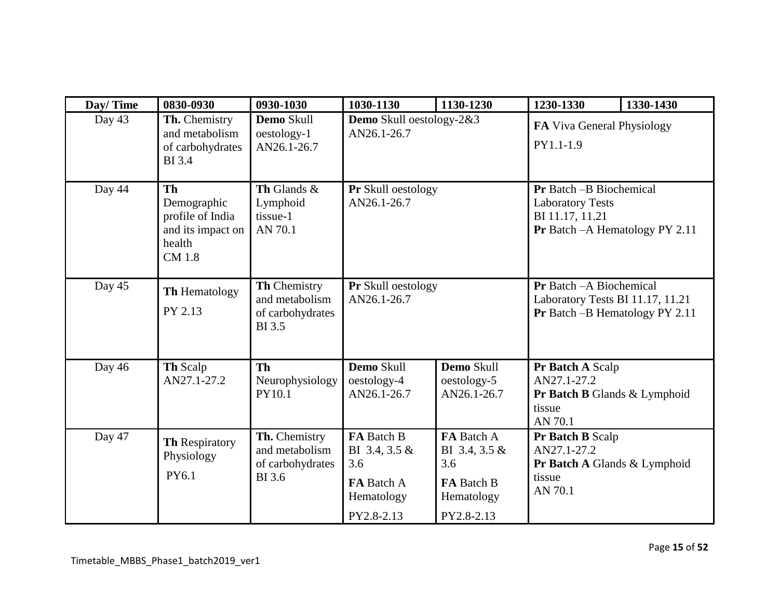| Day/Time | 0830-0930                                                                                    | 0930-1030                                                            | 1030-1130                                                      | 1130-1230                                                        | 1230-1330                                                                                                               | 1330-1430 |
|----------|----------------------------------------------------------------------------------------------|----------------------------------------------------------------------|----------------------------------------------------------------|------------------------------------------------------------------|-------------------------------------------------------------------------------------------------------------------------|-----------|
| Day 43   | Th. Chemistry<br>and metabolism<br>of carbohydrates<br><b>BI</b> 3.4                         | Demo Skull<br>oestology-1<br>AN26.1-26.7                             | Demo Skull oestology-2&3<br>AN26.1-26.7                        |                                                                  | FA Viva General Physiology<br>PY1.1-1.9                                                                                 |           |
| Day 44   | <b>Th</b><br>Demographic<br>profile of India<br>and its impact on<br>health<br><b>CM</b> 1.8 | Th Glands &<br>Lymphoid<br>tissue-1<br>AN 70.1                       | Pr Skull oestology<br>AN26.1-26.7                              |                                                                  | <b>Pr</b> Batch -B Biochemical<br><b>Laboratory Tests</b><br>BI 11.17, 11.21<br><b>Pr</b> Batch $-A$ Hematology PY 2.11 |           |
| Day 45   | Th Hematology<br>PY 2.13                                                                     | Th Chemistry<br>and metabolism<br>of carbohydrates<br><b>BI</b> 3.5  | Pr Skull oestology<br>AN26.1-26.7                              |                                                                  | Pr Batch - A Biochemical<br>Laboratory Tests BI 11.17, 11.21<br><b>Pr</b> Batch $-B$ Hematology PY 2.11                 |           |
| Day 46   | <b>Th Scalp</b><br>AN27.1-27.2                                                               | <b>Th</b><br>Neurophysiology<br>PY10.1                               | Demo Skull<br>oestology-4<br>AN26.1-26.7                       | Demo Skull<br>oestology-5<br>AN26.1-26.7                         | Pr Batch A Scalp<br>AN27.1-27.2<br>Pr Batch B Glands & Lymphoid<br>tissue<br>AN 70.1                                    |           |
| Day 47   | Th Respiratory<br>Physiology<br>PY6.1                                                        | Th. Chemistry<br>and metabolism<br>of carbohydrates<br><b>BI</b> 3.6 | FA Batch B<br>BI 3.4, 3.5 &<br>3.6<br>FA Batch A<br>Hematology | FA Batch A<br>BI 3.4, 3.5 $&$<br>3.6<br>FA Batch B<br>Hematology | Pr Batch B Scalp<br>AN27.1-27.2<br>Pr Batch A Glands & Lymphoid<br>tissue<br>AN 70.1                                    |           |
|          |                                                                                              |                                                                      | PY2.8-2.13                                                     | PY2.8-2.13                                                       |                                                                                                                         |           |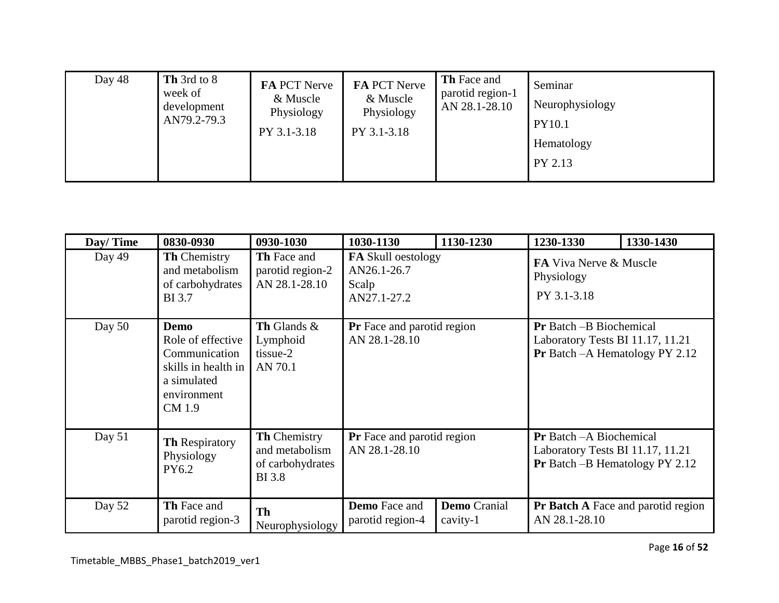| Day 48 | Th 3rd to 8<br>week of<br>development<br>AN79.2-79.3 | <b>FA PCT Nerve</b><br>& Muscle<br>Physiology<br>PY 3.1-3.18 | FA PCT Nerve<br>& Muscle<br>Physiology<br>PY 3.1-3.18 | <b>Th</b> Face and<br>parotid region-1<br>AN 28.1-28.10 | Seminar<br>Neurophysiology<br><b>PY10.1</b><br>Hematology<br>PY 2.13 |
|--------|------------------------------------------------------|--------------------------------------------------------------|-------------------------------------------------------|---------------------------------------------------------|----------------------------------------------------------------------|
|--------|------------------------------------------------------|--------------------------------------------------------------|-------------------------------------------------------|---------------------------------------------------------|----------------------------------------------------------------------|

| Day/Time | 0830-0930                                                                                                 | 0930-1030                                                                  | 1030-1130                                                 | 1130-1230                       | 1230-1330                                                                                                    | 1330-1430 |
|----------|-----------------------------------------------------------------------------------------------------------|----------------------------------------------------------------------------|-----------------------------------------------------------|---------------------------------|--------------------------------------------------------------------------------------------------------------|-----------|
| Day 49   | <b>Th</b> Chemistry<br>and metabolism<br>of carbohydrates<br><b>BI</b> 3.7                                | <b>Th</b> Face and<br>parotid region-2<br>AN 28.1-28.10                    | FA Skull oestology<br>AN26.1-26.7<br>Scalp<br>AN27.1-27.2 |                                 | <b>FA Viva Nerve &amp; Muscle</b><br>Physiology<br>PY 3.1-3.18                                               |           |
| Day $50$ | Demo<br>Role of effective<br>Communication<br>skills in health in<br>a simulated<br>environment<br>CM 1.9 | Th Glands &<br>Lymphoid<br>tissue-2<br>AN 70.1                             | <b>Pr</b> Face and parotid region<br>AN 28.1-28.10        |                                 | <b>Pr</b> Batch – B Biochemical<br>Laboratory Tests BI 11.17, 11.21<br>Pr Batch - A Hematology PY 2.12       |           |
| Day $51$ | <b>Th Respiratory</b><br>Physiology<br>PY6.2                                                              | <b>Th Chemistry</b><br>and metabolism<br>of carbohydrates<br><b>BI</b> 3.8 | <b>Pr</b> Face and parotid region<br>AN 28.1-28.10        |                                 | <b>Pr</b> Batch – A Biochemical<br>Laboratory Tests BI 11.17, 11.21<br><b>Pr</b> Batch -B Hematology PY 2.12 |           |
| Day 52   | <b>Th</b> Face and<br>parotid region-3                                                                    | <b>Th</b><br>Neurophysiology                                               | <b>Demo</b> Face and<br>parotid region-4                  | <b>Demo</b> Cranial<br>cavity-1 | <b>Pr Batch A Face and parotid region</b><br>AN 28.1-28.10                                                   |           |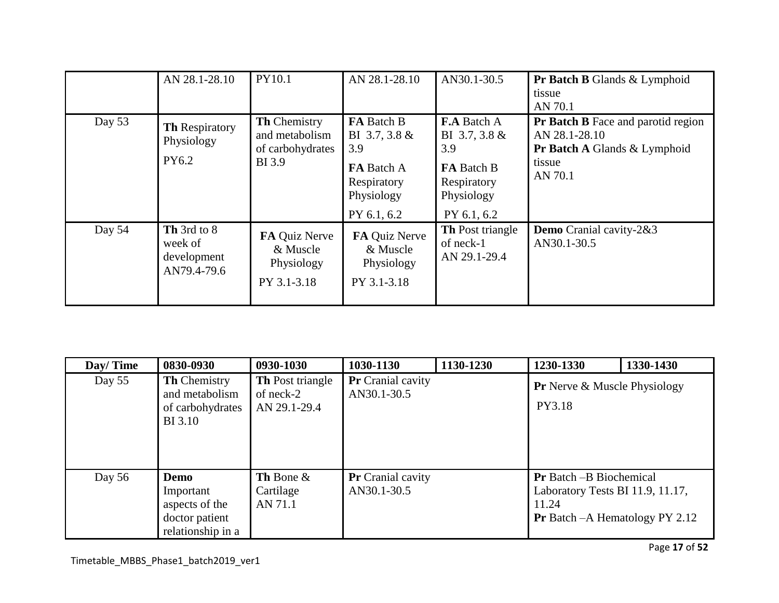|          | AN 28.1-28.10                                        | PY10.1                                                       | AN 28.1-28.10                                                                                       | AN30.1-30.5                                                                                  | <b>Pr Batch B</b> Glands & Lymphoid<br>tissue<br>AN 70.1                                                            |
|----------|------------------------------------------------------|--------------------------------------------------------------|-----------------------------------------------------------------------------------------------------|----------------------------------------------------------------------------------------------|---------------------------------------------------------------------------------------------------------------------|
| Day $53$ | <b>Th Respiratory</b><br>Physiology<br>PY6.2         | Th Chemistry<br>and metabolism<br>of carbohydrates<br>BI 3.9 | FA Batch B<br>BI 3.7, 3.8 &<br>3.9<br><b>FA</b> Batch A<br>Respiratory<br>Physiology<br>PY 6.1, 6.2 | <b>F.A</b> Batch A<br>BI 3.7, 3.8 &<br>3.9<br><b>FA</b> Batch B<br>Respiratory<br>Physiology | Pr Batch B Face and parotid region<br>AN 28.1-28.10<br><b>Pr Batch A Glands &amp; Lymphoid</b><br>tissue<br>AN 70.1 |
| Day 54   | Th 3rd to 8<br>week of<br>development<br>AN79.4-79.6 | FA Quiz Nerve<br>& Muscle<br>Physiology<br>PY 3.1-3.18       | FA Quiz Nerve<br>& Muscle<br>Physiology<br>PY 3.1-3.18                                              | PY 6.1, 6.2<br><b>Th</b> Post triangle<br>of neck-1<br>AN 29.1-29.4                          | Demo Cranial cavity-2&3<br>AN30.1-30.5                                                                              |

| Day/Time | 0830-0930                                                                   | 0930-1030                                            | 1030-1130                               | 1130-1230 | 1230-1330                                                                                                              | 1330-1430 |
|----------|-----------------------------------------------------------------------------|------------------------------------------------------|-----------------------------------------|-----------|------------------------------------------------------------------------------------------------------------------------|-----------|
| Day $55$ | <b>Th</b> Chemistry<br>and metabolism<br>of carbohydrates<br><b>BI</b> 3.10 | <b>Th</b> Post triangle<br>of neck-2<br>AN 29.1-29.4 | Pr Cranial cavity<br>AN30.1-30.5        |           | <b>Pr</b> Nerve & Muscle Physiology<br>PY3.18                                                                          |           |
| Day $56$ | Demo<br>Important<br>aspects of the<br>doctor patient<br>relationship in a  | Th Bone $\&$<br>Cartilage<br>AN 71.1                 | <b>Pr</b> Cranial cavity<br>AN30.1-30.5 |           | <b>Pr</b> Batch -B Biochemical<br>Laboratory Tests BI 11.9, 11.17,<br>11.24<br><b>Pr</b> Batch $-A$ Hematology PY 2.12 |           |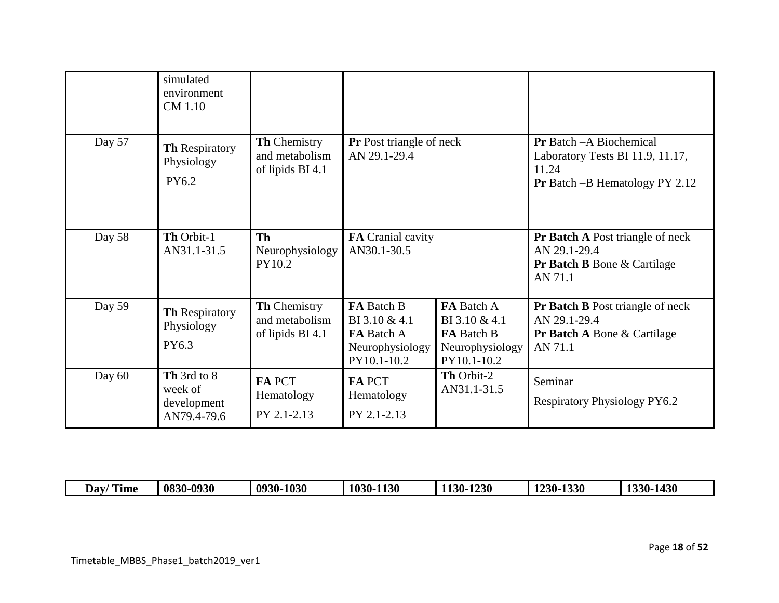|        | simulated<br>environment<br>CM 1.10                  |                                                           |                                                                                    |                                                                                    |                                                                                                                |
|--------|------------------------------------------------------|-----------------------------------------------------------|------------------------------------------------------------------------------------|------------------------------------------------------------------------------------|----------------------------------------------------------------------------------------------------------------|
| Day 57 | <b>Th Respiratory</b><br>Physiology<br>PY6.2         | <b>Th Chemistry</b><br>and metabolism<br>of lipids BI 4.1 | Pr Post triangle of neck<br>AN 29.1-29.4                                           |                                                                                    | Pr Batch - A Biochemical<br>Laboratory Tests BI 11.9, 11.17,<br>11.24<br><b>Pr</b> Batch -B Hematology PY 2.12 |
| Day 58 | Th Orbit-1<br>AN31.1-31.5                            | <b>Th</b><br>Neurophysiology<br>PY10.2                    | FA Cranial cavity<br>AN30.1-30.5                                                   |                                                                                    | <b>Pr Batch A Post triangle of neck</b><br>AN 29.1-29.4<br><b>Pr Batch B</b> Bone & Cartilage<br>AN 71.1       |
| Day 59 | <b>Th Respiratory</b><br>Physiology<br>PY6.3         | Th Chemistry<br>and metabolism<br>of lipids BI 4.1        | FA Batch B<br>BI 3.10 & 4.1<br><b>FA</b> Batch A<br>Neurophysiology<br>PY10.1-10.2 | FA Batch A<br>BI 3.10 & 4.1<br><b>FA</b> Batch B<br>Neurophysiology<br>PY10.1-10.2 | Pr Batch B Post triangle of neck<br>AN 29.1-29.4<br><b>Pr Batch A Bone &amp; Cartilage</b><br>AN 71.1          |
| Day 60 | Th 3rd to 8<br>week of<br>development<br>AN79.4-79.6 | <b>FA PCT</b><br>Hematology<br>PY 2.1-2.13                | <b>FA PCT</b><br>Hematology<br>PY 2.1-2.13                                         | Th Orbit-2<br>AN31.1-31.5                                                          | Seminar<br><b>Respiratory Physiology PY6.2</b>                                                                 |

| 'Time<br>$\blacksquare$<br>Day/ | $-0930$<br>0830 | 1030<br>0930- | 1130<br>$1030 - 1$ | 1230<br>120.<br>$1.30 - 1$ | 1330<br>$230 -$<br>∸ | 1430<br>22A<br>JV. |
|---------------------------------|-----------------|---------------|--------------------|----------------------------|----------------------|--------------------|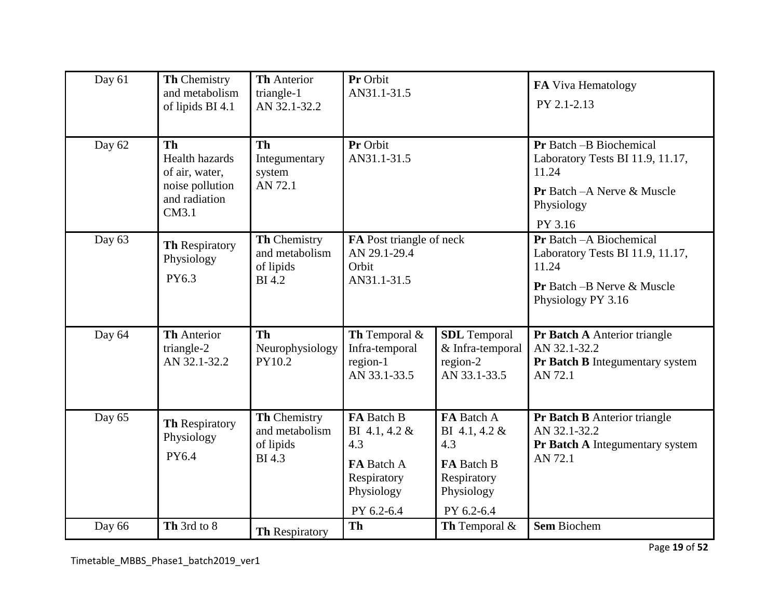| Day 61 | Th Chemistry<br>and metabolism<br>of lipids BI 4.1                                                | <b>Th Anterior</b><br>triangle-1<br>AN 32.1-32.2             | Pr Orbit<br>AN31.1-31.5                                                                     |                                                                                                    | FA Viva Hematology<br>PY 2.1-2.13                                                                                                   |
|--------|---------------------------------------------------------------------------------------------------|--------------------------------------------------------------|---------------------------------------------------------------------------------------------|----------------------------------------------------------------------------------------------------|-------------------------------------------------------------------------------------------------------------------------------------|
| Day 62 | <b>Th</b><br><b>Health hazards</b><br>of air, water,<br>noise pollution<br>and radiation<br>CM3.1 | <b>Th</b><br>Integumentary<br>system<br>AN 72.1              | Pr Orbit<br>AN31.1-31.5                                                                     |                                                                                                    | Pr Batch -B Biochemical<br>Laboratory Tests BI 11.9, 11.17,<br>11.24<br><b>Pr</b> Batch - A Nerve & Muscle<br>Physiology<br>PY 3.16 |
| Day 63 | Th Respiratory<br>Physiology<br>PY6.3                                                             | Th Chemistry<br>and metabolism<br>of lipids<br><b>BI4.2</b>  | FA Post triangle of neck<br>AN 29.1-29.4<br>Orbit<br>AN31.1-31.5                            |                                                                                                    | Pr Batch - A Biochemical<br>Laboratory Tests BI 11.9, 11.17,<br>11.24<br>Pr Batch - B Nerve & Muscle<br>Physiology PY 3.16          |
| Day 64 | <b>Th</b> Anterior<br>triangle-2<br>AN 32.1-32.2                                                  | <b>Th</b><br>Neurophysiology<br>PY10.2                       | Th Temporal &<br>Infra-temporal<br>region-1<br>AN 33.1-33.5                                 | <b>SDL</b> Temporal<br>& Infra-temporal<br>region-2<br>AN 33.1-33.5                                | Pr Batch A Anterior triangle<br>AN 32.1-32.2<br>Pr Batch B Integumentary system<br>AN 72.1                                          |
| Day 65 | <b>Th Respiratory</b><br>Physiology<br>PY6.4                                                      | Th Chemistry<br>and metabolism<br>of lipids<br><b>BI</b> 4.3 | FA Batch B<br>BI 4.1, 4.2 &<br>4.3<br>FA Batch A<br>Respiratory<br>Physiology<br>PY 6.2-6.4 | FA Batch A<br>BI 4.1, 4.2 &<br>4.3<br><b>FA</b> Batch B<br>Respiratory<br>Physiology<br>PY 6.2-6.4 | <b>Pr Batch B</b> Anterior triangle<br>AN 32.1-32.2<br>Pr Batch A Integumentary system<br>AN 72.1                                   |
| Day 66 | Th 3rd to 8                                                                                       | <b>Th Respiratory</b>                                        | Th                                                                                          | Th Temporal &                                                                                      | <b>Sem Biochem</b>                                                                                                                  |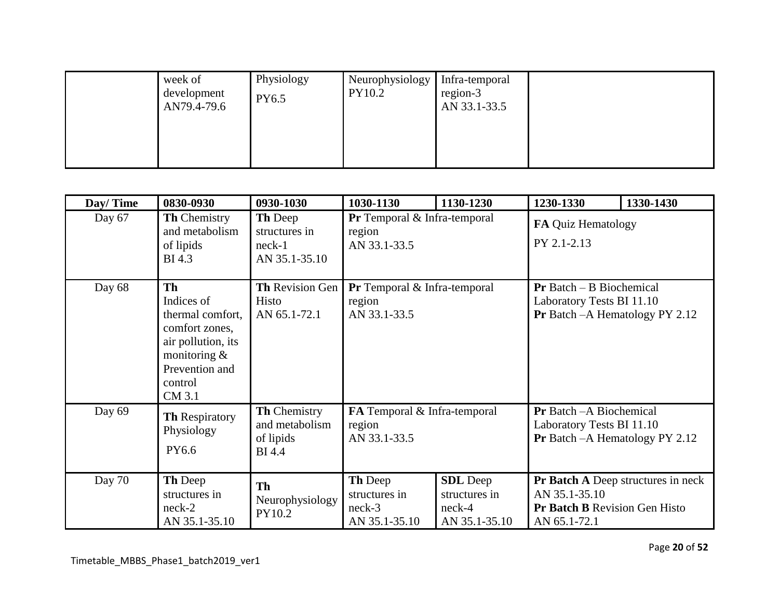| week of<br>development<br>AN79.4-79.6 | Physiology<br>PY6.5 | Neurophysiology<br>PY10.2 | Infra-temporal<br>region-3<br>AN 33.1-33.5 |  |
|---------------------------------------|---------------------|---------------------------|--------------------------------------------|--|
|                                       |                     |                           |                                            |  |

| Day/Time | 0830-0930                                                                                                                                    | 0930-1030                                                    | 1030-1130                                                        | 1130-1230                                                     | 1230-1330                                                                                                          | 1330-1430 |
|----------|----------------------------------------------------------------------------------------------------------------------------------------------|--------------------------------------------------------------|------------------------------------------------------------------|---------------------------------------------------------------|--------------------------------------------------------------------------------------------------------------------|-----------|
| Day 67   | <b>Th Chemistry</b><br>and metabolism<br>of lipids<br><b>BI</b> 4.3                                                                          | Th Deep<br>structures in<br>$neck-1$<br>AN 35.1-35.10        | <b>Pr</b> Temporal $\&$ Infra-temporal<br>region<br>AN 33.1-33.5 |                                                               | FA Quiz Hematology<br>PY 2.1-2.13                                                                                  |           |
| Day 68   | <b>Th</b><br>Indices of<br>thermal comfort,<br>comfort zones,<br>air pollution, its<br>monitoring $&$<br>Prevention and<br>control<br>CM 3.1 | Th Revision Gen<br>Histo<br>AN 65.1-72.1                     | <b>Pr</b> Temporal $\&$ Infra-temporal<br>region<br>AN 33.1-33.5 |                                                               | $Pr$ Batch – B Biochemical<br>Laboratory Tests BI 11.10<br>Pr Batch - A Hematology PY 2.12                         |           |
| Day 69   | <b>Th Respiratory</b><br>Physiology<br>PY6.6                                                                                                 | Th Chemistry<br>and metabolism<br>of lipids<br><b>BI</b> 4.4 | FA Temporal & Infra-temporal<br>region<br>AN 33.1-33.5           |                                                               | <b>Pr</b> Batch - A Biochemical<br>Laboratory Tests BI 11.10<br><b>Pr</b> Batch $-A$ Hematology PY 2.12            |           |
| Day 70   | Th Deep<br>structures in<br>$neck-2$<br>AN 35.1-35.10                                                                                        | Th<br>Neurophysiology<br>PY10.2                              | Th Deep<br>structures in<br>$neck-3$<br>AN 35.1-35.10            | <b>SDL</b> Deep<br>structures in<br>$neck-4$<br>AN 35.1-35.10 | <b>Pr Batch A Deep structures in neck</b><br>AN 35.1-35.10<br><b>Pr Batch B Revision Gen Histo</b><br>AN 65.1-72.1 |           |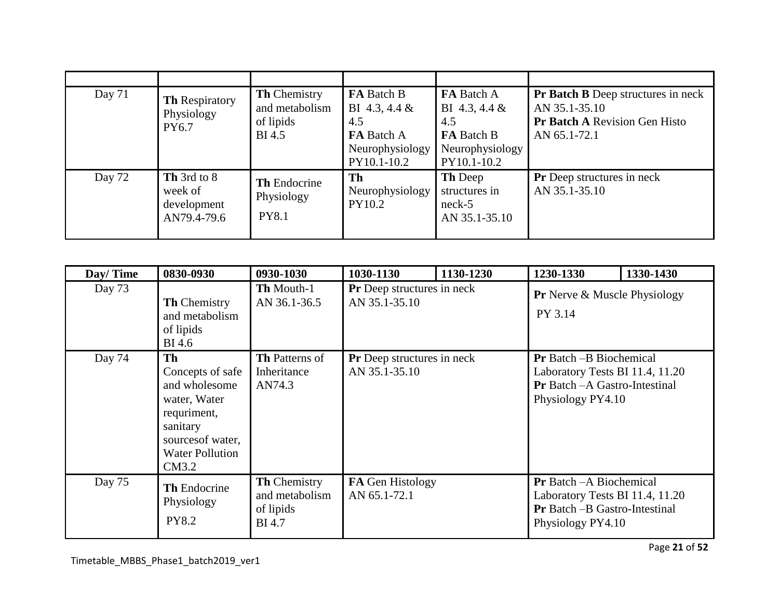| Day $71$ | <b>Th Respiratory</b><br>Physiology<br>PY6.7         | <b>Th Chemistry</b><br>and metabolism<br>of lipids<br><b>BI</b> 4.5 | FA Batch B<br>BI 4.3, 4.4 $\&$<br>4.5<br>FA Batch A<br>Neurophysiology<br>PY10.1-10.2 | FA Batch A<br>BI 4.3, 4.4 $\&$<br>4.5<br>FA Batch B<br>Neurophysiology<br>PY10.1-10.2 | <b>Pr Batch B</b> Deep structures in neck<br>AN 35.1-35.10<br>Pr Batch A Revision Gen Histo<br>AN 65.1-72.1 |
|----------|------------------------------------------------------|---------------------------------------------------------------------|---------------------------------------------------------------------------------------|---------------------------------------------------------------------------------------|-------------------------------------------------------------------------------------------------------------|
| Day 72   | Th 3rd to 8<br>week of<br>development<br>AN79.4-79.6 | <b>Th</b> Endocrine<br>Physiology<br><b>PY8.1</b>                   | Th<br>Neurophysiology<br>PY10.2                                                       | <b>Th</b> Deep<br>structures in<br>$neck-5$<br>AN 35.1-35.10                          | <b>Pr</b> Deep structures in neck<br>AN 35.1-35.10                                                          |

| Day/Time | 0830-0930                                                                                                                                  | 0930-1030                                                           | 1030-1130                                   | 1130-1230 | 1230-1330                                                                                                                       | 1330-1430 |
|----------|--------------------------------------------------------------------------------------------------------------------------------------------|---------------------------------------------------------------------|---------------------------------------------|-----------|---------------------------------------------------------------------------------------------------------------------------------|-----------|
| Day 73   | <b>Th Chemistry</b><br>and metabolism<br>of lipids<br><b>BI</b> 4.6                                                                        | <b>Th Mouth-1</b><br>AN 36.1-36.5                                   | Pr Deep structures in neck<br>AN 35.1-35.10 |           | <b>Pr</b> Nerve & Muscle Physiology<br>PY 3.14                                                                                  |           |
| Day 74   | Th<br>Concepts of safe<br>and wholesome<br>water, Water<br>requriment,<br>sanitary<br>sources of water,<br><b>Water Pollution</b><br>CM3.2 | <b>Th</b> Patterns of<br>Inheritance<br>AN74.3                      | Pr Deep structures in neck<br>AN 35.1-35.10 |           | <b>Pr</b> Batch -B Biochemical<br>Laboratory Tests BI 11.4, 11.20<br>Pr Batch - A Gastro-Intestinal<br>Physiology PY4.10        |           |
| Day 75   | <b>Th Endocrine</b><br>Physiology<br><b>PY8.2</b>                                                                                          | <b>Th Chemistry</b><br>and metabolism<br>of lipids<br><b>BI</b> 4.7 | FA Gen Histology<br>AN 65.1-72.1            |           | <b>Pr</b> Batch - A Biochemical<br>Laboratory Tests BI 11.4, 11.20<br><b>Pr</b> Batch -B Gastro-Intestinal<br>Physiology PY4.10 |           |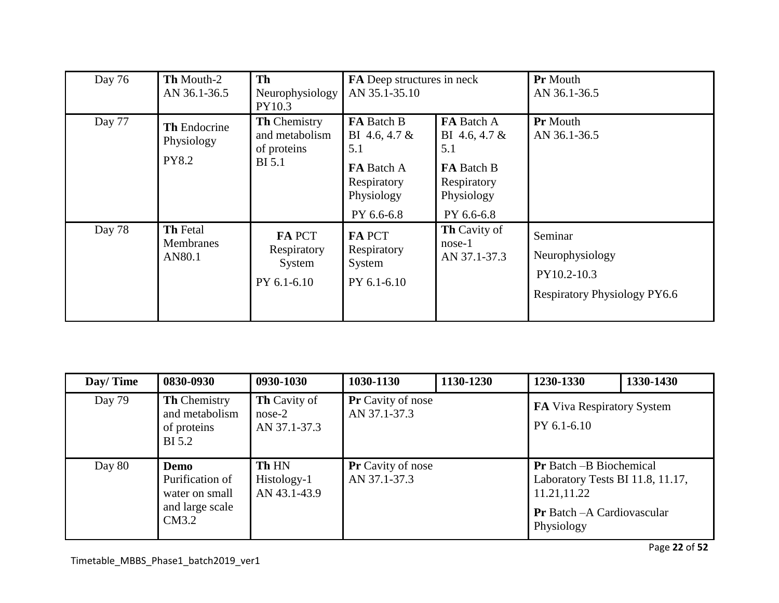| Day 76 | Th Mouth-2<br>AN 36.1-36.5                        | <b>Th</b><br>Neurophysiology<br>PY10.3                                | FA Deep structures in neck<br>AN 35.1-35.10                                                                 |                                                                                                    | <b>Pr</b> Mouth<br>AN 36.1-36.5                                                  |
|--------|---------------------------------------------------|-----------------------------------------------------------------------|-------------------------------------------------------------------------------------------------------------|----------------------------------------------------------------------------------------------------|----------------------------------------------------------------------------------|
| Day 77 | <b>Th</b> Endocrine<br>Physiology<br><b>PY8.2</b> | <b>Th Chemistry</b><br>and metabolism<br>of proteins<br><b>BI</b> 5.1 | <b>FA</b> Batch B<br>BI 4.6, 4.7 $&$<br>5.1<br><b>FA</b> Batch A<br>Respiratory<br>Physiology<br>PY 6.6-6.8 | FA Batch A<br>BI 4.6, 4.7 &<br>5.1<br><b>FA</b> Batch B<br>Respiratory<br>Physiology<br>PY 6.6-6.8 | <b>Pr</b> Mouth<br>AN 36.1-36.5                                                  |
| Day 78 | <b>Th Fetal</b><br><b>Membranes</b><br>AN80.1     | <b>FAPCT</b><br>Respiratory<br>System<br>PY 6.1-6.10                  | <b>FA PCT</b><br>Respiratory<br>System<br>PY 6.1-6.10                                                       | <b>Th Cavity of</b><br>$nose-1$<br>AN 37.1-37.3                                                    | Seminar<br>Neurophysiology<br>PY10.2-10.3<br><b>Respiratory Physiology PY6.6</b> |

| Day/Time | 0830-0930                                                             | 0930-1030                                       | 1030-1130                                | 1130-1230 | 1230-1330                                                                                                                             | 1330-1430 |
|----------|-----------------------------------------------------------------------|-------------------------------------------------|------------------------------------------|-----------|---------------------------------------------------------------------------------------------------------------------------------------|-----------|
| Day 79   | <b>Th Chemistry</b><br>and metabolism<br>of proteins<br><b>BI</b> 5.2 | <b>Th</b> Cavity of<br>$nose-2$<br>AN 37.1-37.3 | <b>Pr</b> Cavity of nose<br>AN 37.1-37.3 |           | <b>FA</b> Viva Respiratory System<br>PY 6.1-6.10                                                                                      |           |
| Day 80   | Demo<br>Purification of<br>water on small<br>and large scale<br>CM3.2 | <b>Th HN</b><br>Histology-1<br>AN 43.1-43.9     | <b>Pr</b> Cavity of nose<br>AN 37.1-37.3 |           | <b>Pr</b> Batch -B Biochemical<br>Laboratory Tests BI 11.8, 11.17,<br>11.21,11.22<br><b>Pr</b> Batch - A Cardiovascular<br>Physiology |           |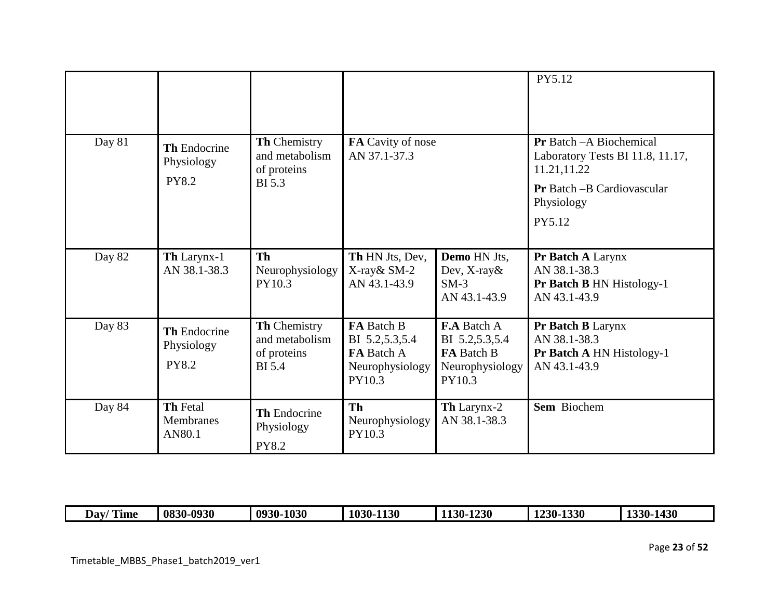|        |                                                   |                                                                |                                                                                  |                                                                                        | PY5.12                                                                             |
|--------|---------------------------------------------------|----------------------------------------------------------------|----------------------------------------------------------------------------------|----------------------------------------------------------------------------------------|------------------------------------------------------------------------------------|
| Day 81 | <b>Th Endocrine</b><br>Physiology                 | Th Chemistry<br>and metabolism<br>of proteins                  | FA Cavity of nose<br>AN 37.1-37.3                                                |                                                                                        | <b>Pr</b> Batch - A Biochemical<br>Laboratory Tests BI 11.8, 11.17,<br>11.21,11.22 |
|        | <b>PY8.2</b>                                      | <b>BI</b> 5.3                                                  |                                                                                  |                                                                                        | Pr Batch - B Cardiovascular<br>Physiology<br>PY5.12                                |
|        |                                                   |                                                                |                                                                                  |                                                                                        |                                                                                    |
| Day 82 | Th Larynx-1<br>AN 38.1-38.3                       | Th<br>Neurophysiology<br>PY10.3                                | Th HN Jts, Dev,<br>X-ray& SM-2<br>AN 43.1-43.9                                   | <b>Demo</b> HN Jts,<br>Dev, $X$ -ray $\&$<br>$SM-3$<br>AN 43.1-43.9                    | Pr Batch A Larynx<br>AN 38.1-38.3<br>Pr Batch B HN Histology-1<br>AN 43.1-43.9     |
| Day 83 | <b>Th Endocrine</b><br>Physiology<br><b>PY8.2</b> | Th Chemistry<br>and metabolism<br>of proteins<br><b>BI</b> 5.4 | FA Batch B<br>BI 5.2, 5.3, 5.4<br><b>FA</b> Batch A<br>Neurophysiology<br>PY10.3 | <b>F.A Batch A</b><br>BI 5.2,5.3,5.4<br><b>FA Batch B</b><br>Neurophysiology<br>PY10.3 | Pr Batch B Larynx<br>AN 38.1-38.3<br>Pr Batch A HN Histology-1<br>AN 43.1-43.9     |
| Day 84 | <b>Th Fetal</b><br><b>Membranes</b><br>AN80.1     | <b>Th Endocrine</b><br>Physiology<br><b>PY8.2</b>              | <b>Th</b><br>Neurophysiology<br>PY10.3                                           | <b>Th</b> Larynx-2<br>AN 38.1-38.3                                                     | Sem Biochem                                                                        |

| $^{\circ}$ m $^{\circ}$<br>Dav/<br>Time | 0830-0930 | $-1030$<br>0930- | $\mathbf{A}$<br><b>1130</b><br>$100 - 1$ | $-1230$<br>$1130 -$ | <b>1330</b><br>1230- | <b>1430</b><br>1330 |
|-----------------------------------------|-----------|------------------|------------------------------------------|---------------------|----------------------|---------------------|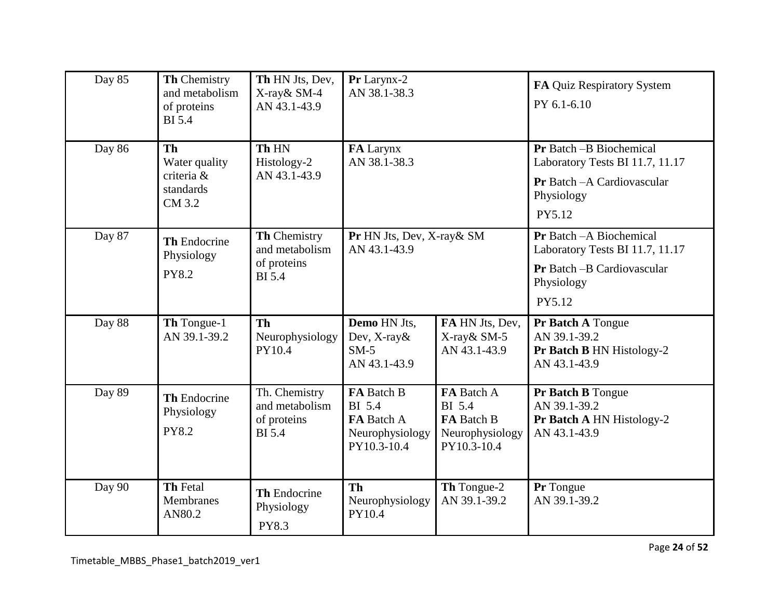| Day 85 | Th Chemistry<br>and metabolism<br>of proteins<br><b>BI</b> 5.4  | Th HN Jts, Dev,<br>X-ray& SM-4<br>AN 43.1-43.9                  | Pr Larynx-2<br>AN 38.1-38.3                                                 |                                                                             | FA Quiz Respiratory System<br>PY 6.1-6.10                                                                          |
|--------|-----------------------------------------------------------------|-----------------------------------------------------------------|-----------------------------------------------------------------------------|-----------------------------------------------------------------------------|--------------------------------------------------------------------------------------------------------------------|
| Day 86 | <b>Th</b><br>Water quality<br>criteria &<br>standards<br>CM 3.2 | Th HN<br>Histology-2<br>AN 43.1-43.9                            | FA Larynx<br>AN 38.1-38.3                                                   |                                                                             | Pr Batch -B Biochemical<br>Laboratory Tests BI 11.7, 11.17<br>Pr Batch - A Cardiovascular<br>Physiology<br>PY5.12  |
| Day 87 | Th Endocrine<br>Physiology<br><b>PY8.2</b>                      | Th Chemistry<br>and metabolism<br>of proteins<br><b>BI</b> 5.4  | Pr HN Jts, Dev, X-ray& SM<br>AN 43.1-43.9                                   |                                                                             | Pr Batch - A Biochemical<br>Laboratory Tests BI 11.7, 11.17<br>Pr Batch - B Cardiovascular<br>Physiology<br>PY5.12 |
| Day 88 | Th Tongue-1<br>AN 39.1-39.2                                     | <b>Th</b><br>Neurophysiology<br>PY10.4                          | Demo HN Jts,<br>Dev, X-ray &<br>$SM-5$<br>AN 43.1-43.9                      | FA HN Jts, Dev,<br>X-ray& SM-5<br>AN 43.1-43.9                              | Pr Batch A Tongue<br>AN 39.1-39.2<br>Pr Batch B HN Histology-2<br>AN 43.1-43.9                                     |
| Day 89 | Th Endocrine<br>Physiology<br><b>PY8.2</b>                      | Th. Chemistry<br>and metabolism<br>of proteins<br><b>BI</b> 5.4 | FA Batch B<br><b>BI</b> 5.4<br>FA Batch A<br>Neurophysiology<br>PY10.3-10.4 | FA Batch A<br><b>BI</b> 5.4<br>FA Batch B<br>Neurophysiology<br>PY10.3-10.4 | Pr Batch B Tongue<br>AN 39.1-39.2<br>Pr Batch A HN Histology-2<br>AN 43.1-43.9                                     |
| Day 90 | Th Fetal<br>Membranes<br>AN80.2                                 | <b>Th Endocrine</b><br>Physiology<br>PY8.3                      | <b>Th</b><br>Neurophysiology<br>PY10.4                                      | Th Tongue-2<br>AN 39.1-39.2                                                 | Pr Tongue<br>AN 39.1-39.2                                                                                          |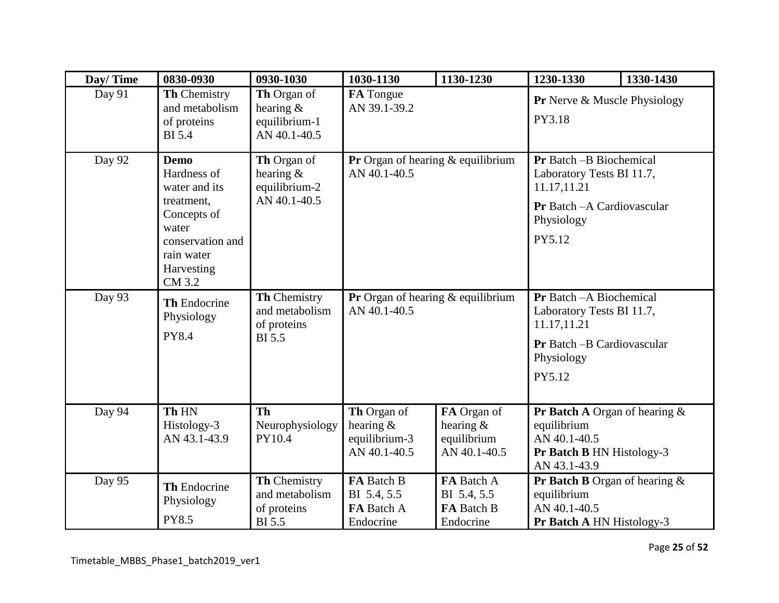| Day/Time | 0830-0930                                                                                                                                   | 0930-1030                                                      | 1030-1130                                                                                                                | 1130-1230                                            | 1230-1330                                                                                                                   | 1330-1430 |
|----------|---------------------------------------------------------------------------------------------------------------------------------------------|----------------------------------------------------------------|--------------------------------------------------------------------------------------------------------------------------|------------------------------------------------------|-----------------------------------------------------------------------------------------------------------------------------|-----------|
| Day 91   | Th Chemistry<br>and metabolism<br>of proteins<br><b>BI</b> 5.4                                                                              | Th Organ of<br>hearing $\&$<br>equilibrium-1<br>AN 40.1-40.5   | FA Tongue<br>AN 39.1-39.2                                                                                                |                                                      | Pr Nerve & Muscle Physiology<br>PY3.18                                                                                      |           |
| Day 92   | <b>Demo</b><br>Hardness of<br>water and its<br>treatment,<br>Concepts of<br>water<br>conservation and<br>rain water<br>Harvesting<br>CM 3.2 | Th Organ of<br>hearing $\&$<br>equilibrium-2<br>AN 40.1-40.5   | <b>Pr</b> Organ of hearing $\&$ equilibrium<br>AN 40.1-40.5                                                              |                                                      | Pr Batch -B Biochemical<br>Laboratory Tests BI 11.7,<br>11.17,11.21<br>Pr Batch - A Cardiovascular<br>Physiology<br>PY5.12  |           |
| Day 93   | <b>Th Endocrine</b><br>Physiology<br><b>PY8.4</b>                                                                                           | Th Chemistry<br>and metabolism<br>of proteins<br><b>BI</b> 5.5 | <b>Pr</b> Organ of hearing $\&$ equilibrium<br>AN 40.1-40.5                                                              |                                                      | Pr Batch - A Biochemical<br>Laboratory Tests BI 11.7,<br>11.17,11.21<br>Pr Batch - B Cardiovascular<br>Physiology<br>PY5.12 |           |
| Day 94   | Th HN<br>Histology-3<br>AN 43.1-43.9                                                                                                        | <b>Th</b><br>Neurophysiology<br>PY10.4                         | Th Organ of<br>FA Organ of<br>hearing $&$<br>hearing $&$<br>equilibrium-3<br>equilibrium<br>AN 40.1-40.5<br>AN 40.1-40.5 |                                                      | Pr Batch A Organ of hearing &<br>equilibrium<br>AN 40.1-40.5<br>Pr Batch B HN Histology-3<br>AN 43.1-43.9                   |           |
| Day 95   | Th Endocrine<br>Physiology<br><b>PY8.5</b>                                                                                                  | Th Chemistry<br>and metabolism<br>of proteins<br><b>BI</b> 5.5 | FA Batch B<br>BI 5.4, 5.5<br>FA Batch A<br>Endocrine                                                                     | FA Batch A<br>BI 5.4, 5.5<br>FA Batch B<br>Endocrine | <b>Pr Batch B</b> Organ of hearing $\&$<br>equilibrium<br>AN 40.1-40.5<br>Pr Batch A HN Histology-3                         |           |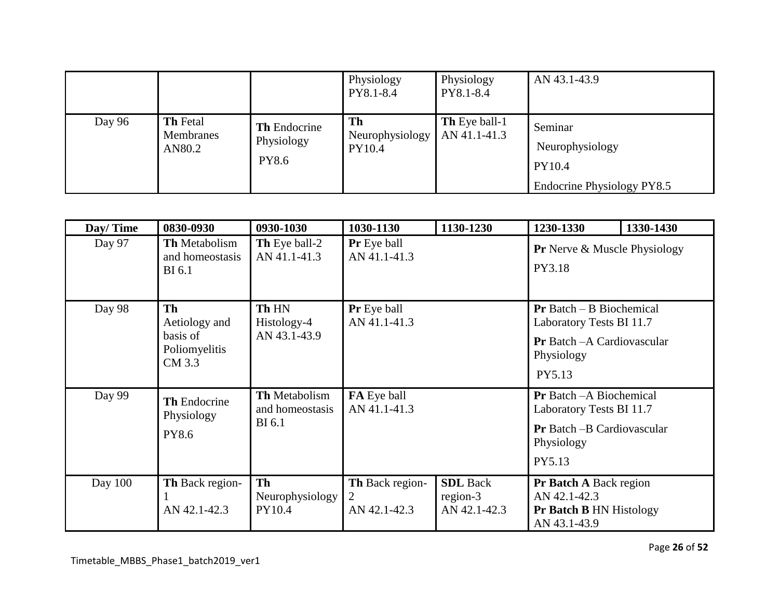|        |                                        |                                                   | Physiology<br>PY8.1-8.4         | Physiology<br>PY8.1-8.4              | AN 43.1-43.9                                                       |
|--------|----------------------------------------|---------------------------------------------------|---------------------------------|--------------------------------------|--------------------------------------------------------------------|
| Day 96 | <b>Th</b> Fetal<br>Membranes<br>AN80.2 | <b>Th</b> Endocrine<br>Physiology<br><b>PY8.6</b> | Th<br>Neurophysiology<br>PY10.4 | <b>Th</b> Eye ball-1<br>AN 41.1-41.3 | Seminar<br>Neurophysiology<br>PY10.4<br>Endocrine Physiology PY8.5 |

| Day/Time  | 0830-0930                                                  | 0930-1030                                         | 1030-1130                                                                                                                                           | 1130-1230                                   | 1230-1330                                                                                                                | 1330-1430 |
|-----------|------------------------------------------------------------|---------------------------------------------------|-----------------------------------------------------------------------------------------------------------------------------------------------------|---------------------------------------------|--------------------------------------------------------------------------------------------------------------------------|-----------|
| Day 97    | <b>Th Metabolism</b><br>and homeostasis<br><b>BI</b> 6.1   | Th Eye ball-2<br>AN 41.1-41.3                     | <b>Pr</b> Eye ball<br>AN 41.1-41.3                                                                                                                  |                                             | <b>Pr</b> Nerve & Muscle Physiology<br>PY3.18                                                                            |           |
| Day 98    | Th<br>Aetiology and<br>basis of<br>Poliomyelitis<br>CM 3.3 | Th HN<br>Histology-4<br>AN 43.1-43.9              | Pr Eye ball<br>$Pr$ Batch – B Biochemical<br>AN 41.1-41.3<br>Laboratory Tests BI 11.7<br><b>Pr</b> Batch - A Cardiovascular<br>Physiology<br>PY5.13 |                                             |                                                                                                                          |           |
| Day 99    | <b>Th Endocrine</b><br>Physiology<br>PY8.6                 | Th Metabolism<br>and homeostasis<br><b>BI</b> 6.1 | FA Eye ball<br>AN 41.1-41.3                                                                                                                         |                                             | <b>Pr</b> Batch - A Biochemical<br>Laboratory Tests BI 11.7<br><b>Pr</b> Batch -B Cardiovascular<br>Physiology<br>PY5.13 |           |
| Day $100$ | Th Back region-<br>AN 42.1-42.3                            | <b>Th</b><br>Neurophysiology<br>PY10.4            | Th Back region-<br>2<br>AN 42.1-42.3                                                                                                                | <b>SDL</b> Back<br>region-3<br>AN 42.1-42.3 | <b>Pr Batch A Back region</b><br>AN 42.1-42.3<br><b>Pr Batch B HN Histology</b><br>AN 43.1-43.9                          |           |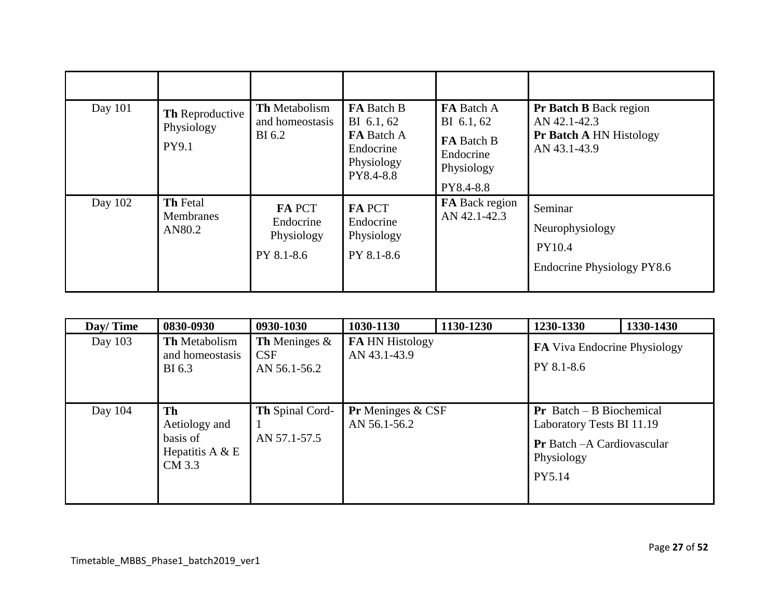| Day 101 | Th Reproductive<br>Physiology<br>PY9.1        | <b>Th</b> Metabolism<br>and homeostasis<br>BI 6.2      | <b>FA</b> Batch B<br>BI 6.1, 62<br><b>FA</b> Batch A<br>Endocrine<br>Physiology<br>PY8.4-8.8 | FA Batch A<br>BI 6.1, 62<br>FA Batch B<br>Endocrine<br>Physiology<br>PY8.4-8.8 | <b>Pr Batch B Back region</b><br>AN 42.1-42.3<br><b>Pr Batch A HN Histology</b><br>AN 43.1-43.9 |
|---------|-----------------------------------------------|--------------------------------------------------------|----------------------------------------------------------------------------------------------|--------------------------------------------------------------------------------|-------------------------------------------------------------------------------------------------|
| Day 102 | <b>Th Fetal</b><br><b>Membranes</b><br>AN80.2 | <b>FA PCT</b><br>Endocrine<br>Physiology<br>PY 8.1-8.6 | <b>FA PCT</b><br>Endocrine<br>Physiology<br>PY 8.1-8.6                                       | <b>FA</b> Back region<br>AN 42.1-42.3                                          | Seminar<br>Neurophysiology<br>PY10.4<br>Endocrine Physiology PY8.6                              |

| Day/Time | 0830-0930                                                      | 0930-1030                                             | 1030-1130                                         | 1130-1230 | 1230-1330                                                                                                                    | 1330-1430 |
|----------|----------------------------------------------------------------|-------------------------------------------------------|---------------------------------------------------|-----------|------------------------------------------------------------------------------------------------------------------------------|-----------|
| Day 103  | <b>Th Metabolism</b><br>and homeostasis<br>BI 6.3              | <b>Th</b> Meninges $\&$<br><b>CSF</b><br>AN 56.1-56.2 | <b>FA HN Histology</b><br>AN 43.1-43.9            |           | <b>FA</b> Viva Endocrine Physiology<br>PY 8.1-8.6                                                                            |           |
| Day 104  | Th<br>Aetiology and<br>basis of<br>Hepatitis A $& E$<br>CM 3.3 | <b>Th Spinal Cord-</b><br>AN 57.1-57.5                | <b>Pr</b> Meninges $& \text{CSF}$<br>AN 56.1-56.2 |           | <b>Pr</b> Batch $-$ B Biochemical<br>Laboratory Tests BI 11.19<br><b>Pr</b> Batch - A Cardiovascular<br>Physiology<br>PY5.14 |           |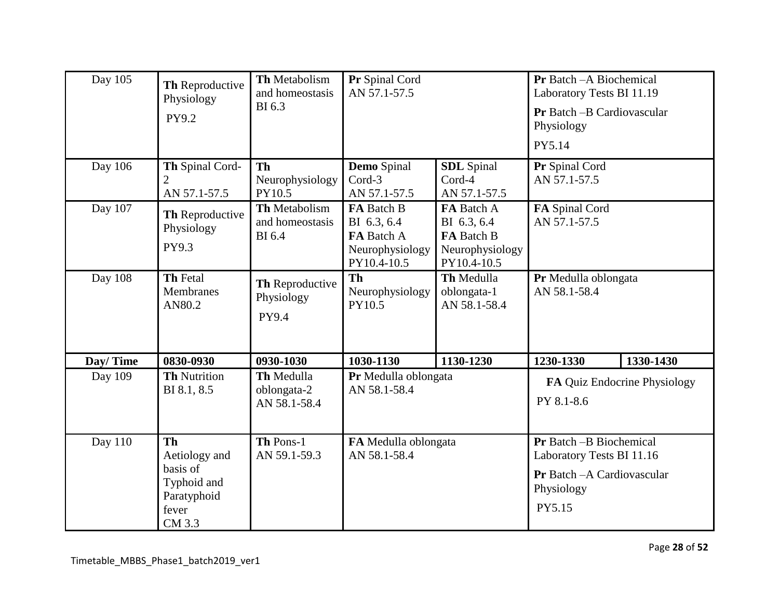| Day 105  | Th Reproductive<br>Physiology<br>PY9.2                                                  | Th Metabolism<br>and homeostasis<br>BI 6.3        | Pr Spinal Cord<br>AN 57.1-57.5                                            |                                                                           | Pr Batch - A Biochemical<br>Laboratory Tests BI 11.19<br>Pr Batch - B Cardiovascular<br>Physiology<br>PY5.14 |                              |
|----------|-----------------------------------------------------------------------------------------|---------------------------------------------------|---------------------------------------------------------------------------|---------------------------------------------------------------------------|--------------------------------------------------------------------------------------------------------------|------------------------------|
| Day 106  | Th Spinal Cord-<br>$\overline{2}$<br>AN 57.1-57.5                                       | Th<br>Neurophysiology<br>PY10.5                   | <b>Demo</b> Spinal<br>Cord-3<br>AN 57.1-57.5                              | <b>SDL</b> Spinal<br>Cord-4<br>AN 57.1-57.5                               | Pr Spinal Cord<br>AN 57.1-57.5                                                                               |                              |
| Day 107  | Th Reproductive<br>Physiology<br>PY9.3                                                  | Th Metabolism<br>and homeostasis<br><b>BI</b> 6.4 | FA Batch B<br>BI 6.3, 6.4<br>FA Batch A<br>Neurophysiology<br>PY10.4-10.5 | FA Batch A<br>BI 6.3, 6.4<br>FA Batch B<br>Neurophysiology<br>PY10.4-10.5 | FA Spinal Cord<br>AN 57.1-57.5                                                                               |                              |
| Day 108  | <b>Th Fetal</b><br>Membranes<br>AN80.2                                                  | Th Reproductive<br>Physiology<br>PY9.4            | Th<br>Neurophysiology<br>PY10.5                                           | Th Medulla<br>oblongata-1<br>AN 58.1-58.4                                 | Pr Medulla oblongata<br>AN 58.1-58.4                                                                         |                              |
| Day/Time | 0830-0930                                                                               | 0930-1030                                         | 1030-1130                                                                 | 1130-1230                                                                 | 1230-1330                                                                                                    | 1330-1430                    |
| Day 109  | <b>Th Nutrition</b><br>BI 8.1, 8.5                                                      | Th Medulla<br>oblongata-2<br>AN 58.1-58.4         | Pr Medulla oblongata<br>AN 58.1-58.4                                      |                                                                           | PY 8.1-8.6                                                                                                   | FA Quiz Endocrine Physiology |
| Day 110  | <b>Th</b><br>Aetiology and<br>basis of<br>Typhoid and<br>Paratyphoid<br>fever<br>CM 3.3 | Th Pons-1<br>AN 59.1-59.3                         | FA Medulla oblongata<br>AN 58.1-58.4                                      |                                                                           | Pr Batch -B Biochemical<br>Laboratory Tests BI 11.16<br>Pr Batch - A Cardiovascular<br>Physiology<br>PY5.15  |                              |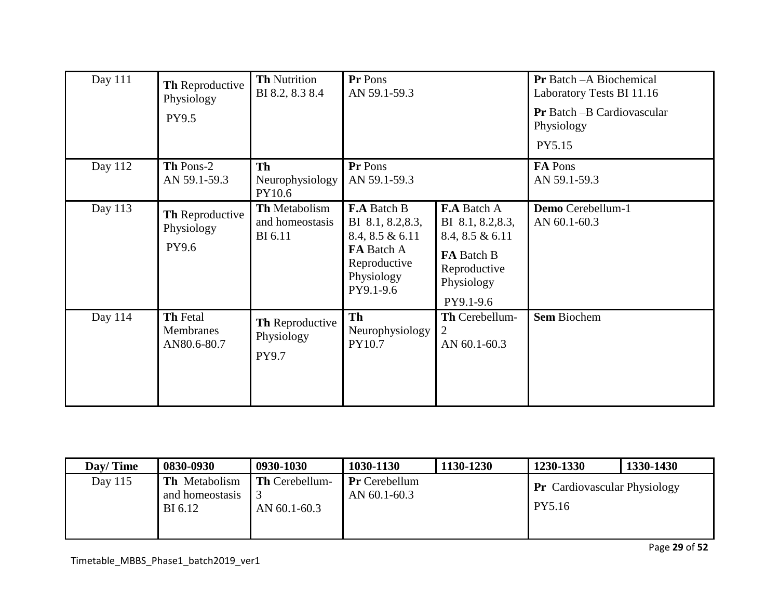| Day 111 | Th Reproductive<br>Physiology<br>PY9.5 | <b>Th Nutrition</b><br>BI 8.2, 8.3 8.4             | Pr Pons<br>AN 59.1-59.3                                                                                             |                                                                                                                     | <b>Pr</b> Batch - A Biochemical<br>Laboratory Tests BI 11.16<br><b>Pr</b> Batch -B Cardiovascular<br>Physiology<br>PY5.15 |
|---------|----------------------------------------|----------------------------------------------------|---------------------------------------------------------------------------------------------------------------------|---------------------------------------------------------------------------------------------------------------------|---------------------------------------------------------------------------------------------------------------------------|
| Day 112 | Th Pons-2<br>AN 59.1-59.3              | <b>Th</b><br>Neurophysiology<br>PY10.6             | Pr Pons<br>AN 59.1-59.3                                                                                             |                                                                                                                     | FA Pons<br>AN 59.1-59.3                                                                                                   |
| Day 113 | Th Reproductive<br>Physiology<br>PY9.6 | <b>Th Metabolism</b><br>and homeostasis<br>BI 6.11 | <b>F.A Batch B</b><br>BI 8.1, 8.2, 8.3,<br>8.4, 8.5 & 6.11<br>FA Batch A<br>Reproductive<br>Physiology<br>PY9.1-9.6 | <b>F.A Batch A</b><br>BI 8.1, 8.2, 8.3,<br>8.4, 8.5 & 6.11<br>FA Batch B<br>Reproductive<br>Physiology<br>PY9.1-9.6 | Demo Cerebellum-1<br>AN 60.1-60.3                                                                                         |
| Day 114 | Th Fetal<br>Membranes<br>AN80.6-80.7   | Th Reproductive<br>Physiology<br>PY9.7             | <b>Th</b><br>Neurophysiology<br>PY10.7                                                                              | Th Cerebellum-<br>2<br>AN 60.1-60.3                                                                                 | <b>Sem Biochem</b>                                                                                                        |

| Dav/Time | 0830-0930                                          | 0930-1030                                 | 1030-1130                                | 1130-1230 | 1230-1330                                     | 1330-1430 |
|----------|----------------------------------------------------|-------------------------------------------|------------------------------------------|-----------|-----------------------------------------------|-----------|
| Day 115  | <b>Th</b> Metabolism<br>and homeostasis<br>BI 6.12 | <b>Th Cerebellum-</b><br>AN $60.1 - 60.3$ | <b>Pr</b> Cerebellum<br>AN $60.1 - 60.3$ |           | <b>Pr</b> Cardiovascular Physiology<br>PY5.16 |           |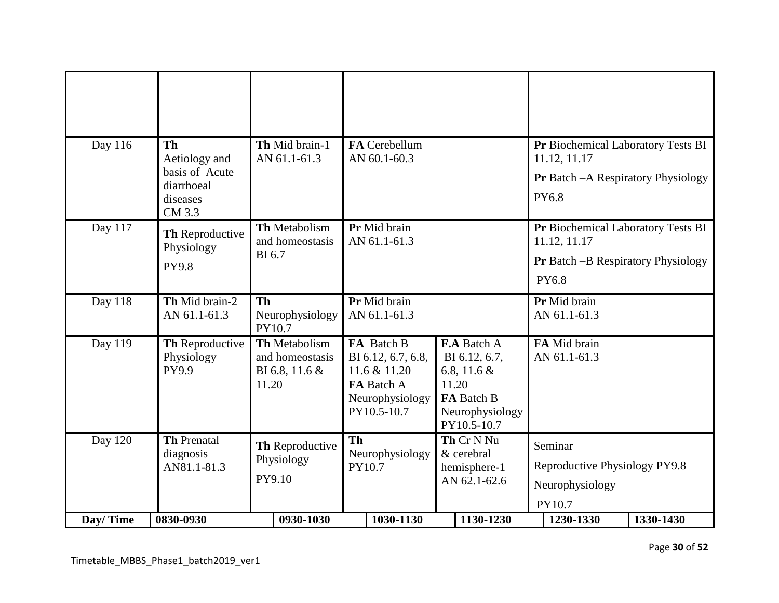| Day 116<br>Th Mid brain-1<br><b>FA</b> Cerebellum<br>Pr Biochemical Laboratory Tests BI<br><b>Th</b><br>Aetiology and<br>AN 61.1-61.3<br>AN 60.1-60.3<br>11.12, 11.17<br>basis of Acute<br><b>Pr</b> Batch – A Respiratory Physiology<br>diarrhoeal<br>PY6.8<br>diseases<br>CM 3.3<br>Day 117<br>Th Metabolism<br>Pr Mid brain<br>Pr Biochemical Laboratory Tests BI<br>Th Reproductive<br>and homeostasis<br>AN 61.1-61.3<br>11.12, 11.17<br>Physiology<br><b>BI6.7</b><br><b>Pr</b> Batch -B Respiratory Physiology<br><b>PY9.8</b><br>PY6.8<br>Th Mid brain-2<br>Day 118<br>Pr Mid brain<br>Pr Mid brain<br><b>Th</b><br>AN 61.1-61.3<br>AN 61.1-61.3<br>AN 61.1-61.3<br>Neurophysiology<br>PY10.7<br>Day 119<br>Th Metabolism<br>FA Batch B<br>F.A Batch A<br>FA Mid brain<br>Th Reproductive<br>AN 61.1-61.3<br>Physiology<br>and homeostasis<br>BI 6.12, 6.7, 6.8,<br>BI 6.12, 6.7,<br>PY9.9<br>BI 6.8, 11.6 &<br>11.6 & 11.20<br>6.8, 11.6 $&$<br>FA Batch A<br>11.20<br>11.20<br>Neurophysiology<br>FA Batch B<br>PY10.5-10.7<br>Neurophysiology<br>PY10.5-10.7<br>Day 120<br><b>Th</b><br>Th Cr N Nu<br><b>Th Prenatal</b><br>Th Reproductive<br>Seminar<br>Neurophysiology<br>diagnosis<br>& cerebral<br>Physiology<br>Reproductive Physiology PY9.8<br>AN81.1-81.3<br>PY10.7<br>hemisphere-1<br>PY9.10<br>AN 62.1-62.6<br>Neurophysiology<br>PY10.7 |  |  |  |  |
|----------------------------------------------------------------------------------------------------------------------------------------------------------------------------------------------------------------------------------------------------------------------------------------------------------------------------------------------------------------------------------------------------------------------------------------------------------------------------------------------------------------------------------------------------------------------------------------------------------------------------------------------------------------------------------------------------------------------------------------------------------------------------------------------------------------------------------------------------------------------------------------------------------------------------------------------------------------------------------------------------------------------------------------------------------------------------------------------------------------------------------------------------------------------------------------------------------------------------------------------------------------------------------------------------------------------------------------------------------------|--|--|--|--|
|                                                                                                                                                                                                                                                                                                                                                                                                                                                                                                                                                                                                                                                                                                                                                                                                                                                                                                                                                                                                                                                                                                                                                                                                                                                                                                                                                                |  |  |  |  |
|                                                                                                                                                                                                                                                                                                                                                                                                                                                                                                                                                                                                                                                                                                                                                                                                                                                                                                                                                                                                                                                                                                                                                                                                                                                                                                                                                                |  |  |  |  |
|                                                                                                                                                                                                                                                                                                                                                                                                                                                                                                                                                                                                                                                                                                                                                                                                                                                                                                                                                                                                                                                                                                                                                                                                                                                                                                                                                                |  |  |  |  |
|                                                                                                                                                                                                                                                                                                                                                                                                                                                                                                                                                                                                                                                                                                                                                                                                                                                                                                                                                                                                                                                                                                                                                                                                                                                                                                                                                                |  |  |  |  |
| 1330-1430<br>0830-0930<br>0930-1030<br>1030-1130<br>1130-1230<br>1230-1330<br>Day/Time                                                                                                                                                                                                                                                                                                                                                                                                                                                                                                                                                                                                                                                                                                                                                                                                                                                                                                                                                                                                                                                                                                                                                                                                                                                                         |  |  |  |  |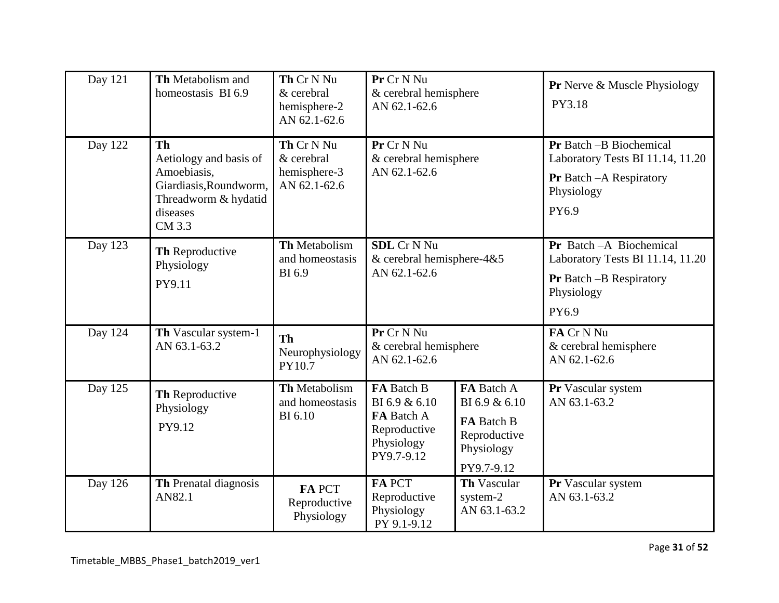| Day 121 | Th Metabolism and<br>homeostasis BI 6.9                                                                                    | Th Cr N Nu<br>& cerebral<br>hemisphere-2<br>AN 62.1-62.6 | Pr Cr N Nu<br>& cerebral hemisphere<br>AN 62.1-62.6                                   |                                                                                              | <b>Pr</b> Nerve & Muscle Physiology<br>PY3.18                                                                         |
|---------|----------------------------------------------------------------------------------------------------------------------------|----------------------------------------------------------|---------------------------------------------------------------------------------------|----------------------------------------------------------------------------------------------|-----------------------------------------------------------------------------------------------------------------------|
| Day 122 | <b>Th</b><br>Aetiology and basis of<br>Amoebiasis,<br>Giardiasis, Roundworm,<br>Threadworm & hydatid<br>diseases<br>CM 3.3 | Th Cr N Nu<br>& cerebral<br>hemisphere-3<br>AN 62.1-62.6 | Pr Cr N Nu<br>& cerebral hemisphere<br>AN 62.1-62.6                                   |                                                                                              | <b>Pr</b> Batch -B Biochemical<br>Laboratory Tests BI 11.14, 11.20<br>Pr Batch - A Respiratory<br>Physiology<br>PY6.9 |
| Day 123 | Th Reproductive<br>Physiology<br>PY9.11                                                                                    | Th Metabolism<br>and homeostasis<br><b>BI</b> 6.9        | <b>SDL</b> Cr N Nu<br>$&$ cerebral hemisphere-4 $&$ 5<br>AN 62.1-62.6                 |                                                                                              | Pr Batch - A Biochemical<br>Laboratory Tests BI 11.14, 11.20<br>Pr Batch - B Respiratory<br>Physiology<br>PY6.9       |
| Day 124 | Th Vascular system-1<br>AN 63.1-63.2                                                                                       | Th<br>Neurophysiology<br>PY10.7                          | Pr Cr N Nu<br>& cerebral hemisphere<br>AN 62.1-62.6                                   |                                                                                              | FA Cr N Nu<br>& cerebral hemisphere<br>AN 62.1-62.6                                                                   |
| Day 125 | Th Reproductive<br>Physiology<br>PY9.12                                                                                    | Th Metabolism<br>and homeostasis<br><b>BI</b> 6.10       | FA Batch B<br>BI 6.9 & 6.10<br>FA Batch A<br>Reproductive<br>Physiology<br>PY9.7-9.12 | FA Batch A<br>BI 6.9 & 6.10<br><b>FA Batch B</b><br>Reproductive<br>Physiology<br>PY9.7-9.12 | Pr Vascular system<br>AN 63.1-63.2                                                                                    |
| Day 126 | <b>Th</b> Prenatal diagnosis<br>AN82.1                                                                                     | FA PCT<br>Reproductive<br>Physiology                     | <b>FAPCT</b><br>Reproductive<br>Physiology<br>PY 9.1-9.12                             | <b>Th Vascular</b><br>system-2<br>AN 63.1-63.2                                               | Pr Vascular system<br>AN 63.1-63.2                                                                                    |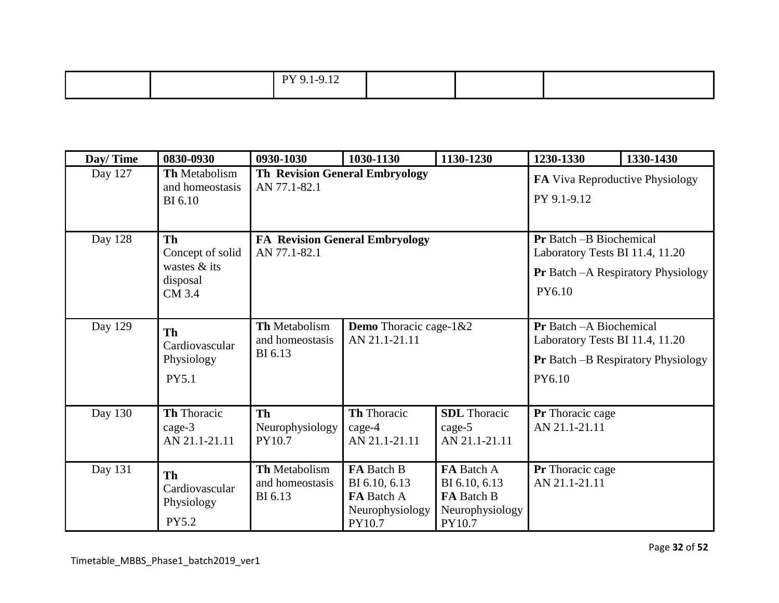| Day/Time | 0830-0930                                                    | 0930-1030                                             | 1030-1130                                                              | 1130-1230                                                              | 1230-1330                                                                    | 1330-1430                                  |
|----------|--------------------------------------------------------------|-------------------------------------------------------|------------------------------------------------------------------------|------------------------------------------------------------------------|------------------------------------------------------------------------------|--------------------------------------------|
| Day 127  | <b>Th Metabolism</b><br>and homeostasis<br><b>BI</b> 6.10    | AN 77.1-82.1                                          | <b>Th Revision General Embryology</b>                                  |                                                                        |                                                                              | FA Viva Reproductive Physiology            |
| Day 128  | Th<br>Concept of solid<br>wastes & its<br>disposal<br>CM 3.4 | <b>FA Revision General Embryology</b><br>AN 77.1-82.1 |                                                                        |                                                                        | Pr Batch -B Biochemical<br>Laboratory Tests BI 11.4, 11.20<br>PY6.10         | <b>Pr</b> Batch - A Respiratory Physiology |
| Day 129  | Th<br>Cardiovascular<br>Physiology<br>PY5.1                  | <b>Th Metabolism</b><br>and homeostasis<br>BI 6.13    | Demo Thoracic cage-1&2<br>AN 21.1-21.11                                |                                                                        | <b>Pr</b> Batch - A Biochemical<br>Laboratory Tests BI 11.4, 11.20<br>PY6.10 | <b>Pr</b> Batch -B Respiratory Physiology  |
| Day 130  | Th Thoracic<br>$cage-3$<br>AN 21.1-21.11                     | <b>Th</b><br>Neurophysiology<br>PY10.7                | Th Thoracic<br>$cage-4$<br>AN 21.1-21.11                               | <b>SDL</b> Thoracic<br>cage-5<br>AN 21.1-21.11                         | Pr Thoracic cage<br>AN 21.1-21.11                                            |                                            |
| Day 131  | Th<br>Cardiovascular<br>Physiology<br>PY5.2                  | Th Metabolism<br>and homeostasis<br>BI 6.13           | FA Batch B<br>BI 6.10, 6.13<br>FA Batch A<br>Neurophysiology<br>PY10.7 | FA Batch A<br>BI 6.10, 6.13<br>FA Batch B<br>Neurophysiology<br>PY10.7 | <b>Pr</b> Thoracic cage<br>AN 21.1-21.11                                     |                                            |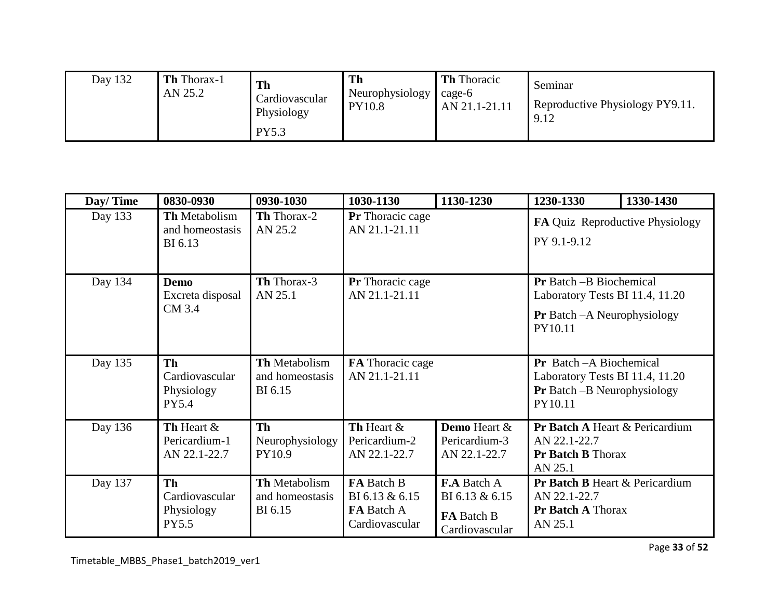| Day 132 | Th Thorax-1<br>AN 25.2 | Th<br>Cardiovascular<br>Physiology<br><b>PY5.3</b> | Th<br>Neurophysiology<br><b>PY10.8</b> | <b>Th</b> Thoracic<br>cage-6<br>AN 21.1-21.11 | Seminar<br>Reproductive Physiology PY9.11.<br>9.12 |
|---------|------------------------|----------------------------------------------------|----------------------------------------|-----------------------------------------------|----------------------------------------------------|
|---------|------------------------|----------------------------------------------------|----------------------------------------|-----------------------------------------------|----------------------------------------------------|

| Day/Time | 0830-0930                                                 | 0930-1030                                   | 1030-1130                                                                  | 1130-1230                                                            | 1230-1330                                                                                                            | 1330-1430 |
|----------|-----------------------------------------------------------|---------------------------------------------|----------------------------------------------------------------------------|----------------------------------------------------------------------|----------------------------------------------------------------------------------------------------------------------|-----------|
| Day 133  | <b>Th Metabolism</b><br>and homeostasis<br>BI 6.13        | <b>Th</b> Thorax-2<br>AN 25.2               | Pr Thoracic cage<br>AN 21.1-21.11                                          |                                                                      | FA Quiz Reproductive Physiology<br>PY 9.1-9.12                                                                       |           |
| Day 134  | <b>Demo</b><br>Excreta disposal<br>CM 3.4                 | Th Thorax-3<br>AN 25.1                      | Pr Thoracic cage<br>AN 21.1-21.11                                          |                                                                      | <b>Pr</b> Batch --B Biochemical<br>Laboratory Tests BI 11.4, 11.20<br><b>Pr</b> Batch – A Neurophysiology<br>PY10.11 |           |
| Day 135  | Th<br>Cardiovascular<br>Physiology<br>PY5.4               | Th Metabolism<br>and homeostasis<br>BI 6.15 | FA Thoracic cage<br>AN 21.1-21.11                                          |                                                                      | Pr Batch - A Biochemical<br>Laboratory Tests BI 11.4, 11.20<br><b>Pr</b> Batch -B Neurophysiology<br>PY10.11         |           |
| Day 136  | Th Heart &<br>Pericardium-1<br>AN 22.1-22.7               | <b>Th</b><br>Neurophysiology<br>PY10.9      | Th Heart &<br>Pericardium-2<br>AN 22.1-22.7                                | <b>Demo</b> Heart &<br>Pericardium-3<br>AN 22.1-22.7                 | Pr Batch A Heart & Pericardium<br>AN 22.1-22.7<br><b>Pr Batch B Thorax</b><br>AN 25.1                                |           |
| Day 137  | <b>Th</b><br>Cardiovascular<br>Physiology<br><b>PY5.5</b> | Th Metabolism<br>and homeostasis<br>BI 6.15 | <b>FA</b> Batch B<br>BI 6.13 & 6.15<br><b>FA</b> Batch A<br>Cardiovascular | <b>F.A</b> Batch A<br>BI 6.13 & 6.15<br>FA Batch B<br>Cardiovascular | Pr Batch B Heart & Pericardium<br>AN 22.1-22.7<br><b>Pr Batch A Thorax</b><br>AN 25.1                                |           |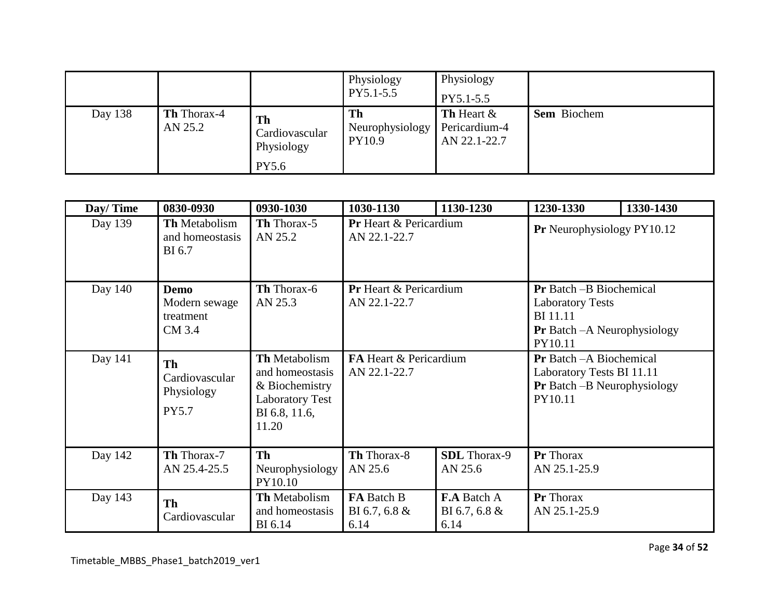|         |                               |                                           | Physiology<br>PY5.1-5.5         | Physiology<br>PY5.1-5.5                               |                    |
|---------|-------------------------------|-------------------------------------------|---------------------------------|-------------------------------------------------------|--------------------|
| Day 138 | <b>Th</b> Thorax-4<br>AN 25.2 | <b>Th</b><br>Cardiovascular<br>Physiology | Th<br>Neurophysiology<br>PY10.9 | <b>Th</b> Heart $\&$<br>Pericardium-4<br>AN 22.1-22.7 | <b>Sem</b> Biochem |
|         |                               | <b>PY5.6</b>                              |                                 |                                                       |                    |

| Day/Time | 0830-0930                                          | 0930-1030                                                                                              | 1030-1130                                                                               | 1130-1230 | 1230-1330                                                                                                                       | 1330-1430 |
|----------|----------------------------------------------------|--------------------------------------------------------------------------------------------------------|-----------------------------------------------------------------------------------------|-----------|---------------------------------------------------------------------------------------------------------------------------------|-----------|
| Day 139  | <b>Th</b> Metabolism<br>and homeostasis<br>BI 6.7  | Th Thorax-5<br>AN 25.2                                                                                 | Pr Heart & Pericardium<br>AN 22.1-22.7                                                  |           | Pr Neurophysiology PY10.12                                                                                                      |           |
| Day 140  | Demo<br>Modern sewage<br>treatment<br>CM 3.4       | Th Thorax-6<br>AN 25.3                                                                                 | <b>Pr</b> Heart & Pericardium<br>AN 22.1-22.7                                           |           | <b>Pr</b> Batch --B Biochemical<br><b>Laboratory Tests</b><br><b>BI</b> 11.11<br><b>Pr</b> Batch - A Neurophysiology<br>PY10.11 |           |
| Day 141  | Th<br>Cardiovascular<br>Physiology<br><b>PY5.7</b> | Th Metabolism<br>and homeostasis<br>& Biochemistry<br><b>Laboratory Test</b><br>BI 6.8, 11.6,<br>11.20 | FA Heart & Pericardium<br>AN 22.1-22.7                                                  |           | <b>Pr</b> Batch - A Biochemical<br>Laboratory Tests BI 11.11<br><b>Pr</b> Batch $-B$ Neurophysiology<br>PY10.11                 |           |
| Day 142  | Th Thorax-7<br>AN 25.4-25.5                        | Th<br>Neurophysiology<br>PY10.10                                                                       | Th Thorax-8<br><b>SDL</b> Thorax-9<br>AN 25.6<br>AN 25.6                                |           | Pr Thorax<br>AN 25.1-25.9                                                                                                       |           |
| Day 143  | Th<br>Cardiovascular                               | <b>Th Metabolism</b><br>and homeostasis<br><b>BI</b> 6.14                                              | FA Batch B<br><b>F.A Batch A</b><br>BI 6.7, 6.8 $\&$<br>BI 6.7, 6.8 $&$<br>6.14<br>6.14 |           | Pr Thorax<br>AN 25.1-25.9                                                                                                       |           |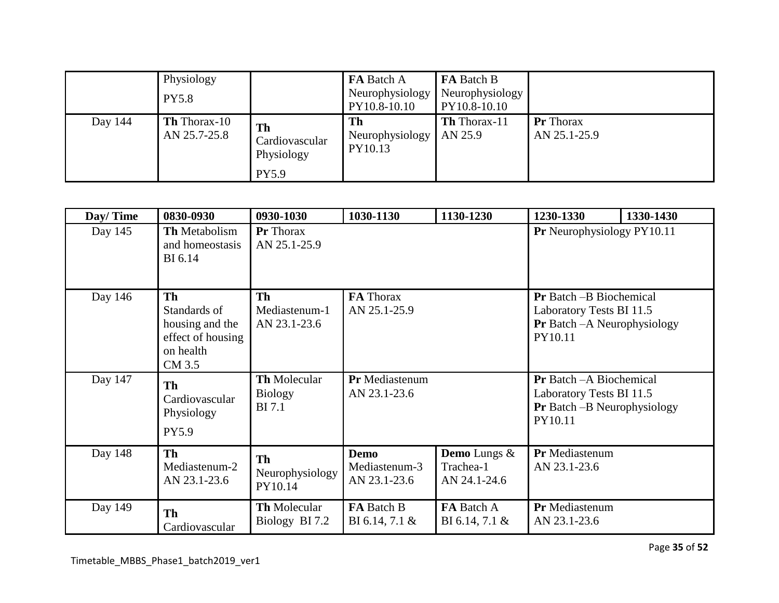|         | Physiology<br><b>PY5.8</b>          |                                                    | <b>FA</b> Batch A<br>Neurophysiology<br>PY10.8-10.10 | <b>FA</b> Batch B<br>Neurophysiology<br>PY10.8-10.10 |                                  |
|---------|-------------------------------------|----------------------------------------------------|------------------------------------------------------|------------------------------------------------------|----------------------------------|
| Day 144 | <b>Th</b> Thorax-10<br>AN 25.7-25.8 | Th<br>Cardiovascular<br>Physiology<br><b>PY5.9</b> | Th<br>Neurophysiology<br>PY10.13                     | <b>Th</b> Thorax-11<br>AN 25.9                       | <b>Pr</b> Thorax<br>AN 25.1-25.9 |

| Day/Time | 0830-0930                                                                                | 0930-1030                                              | 1030-1130                                    | 1130-1230                                 | 1230-1330                                                                                                     | 1330-1430 |
|----------|------------------------------------------------------------------------------------------|--------------------------------------------------------|----------------------------------------------|-------------------------------------------|---------------------------------------------------------------------------------------------------------------|-----------|
| Day 145  | <b>Th Metabolism</b><br>and homeostasis<br>BI 6.14                                       | <b>Pr</b> Thorax<br>AN 25.1-25.9                       |                                              |                                           | Pr Neurophysiology PY10.11                                                                                    |           |
| Day 146  | <b>Th</b><br>Standards of<br>housing and the<br>effect of housing<br>on health<br>CM 3.5 | Th<br>Mediastenum-1<br>AN 23.1-23.6                    | FA Thorax<br>AN 25.1-25.9                    |                                           | <b>Pr</b> Batch – B Biochemical<br>Laboratory Tests BI 11.5<br><b>Pr</b> Batch – A Neurophysiology<br>PY10.11 |           |
| Day 147  | Th<br>Cardiovascular<br>Physiology<br>PY5.9                                              | <b>Th Molecular</b><br><b>Biology</b><br><b>BI</b> 7.1 | Pr Mediastenum<br>AN 23.1-23.6               |                                           | <b>Pr</b> Batch - A Biochemical<br>Laboratory Tests BI 11.5<br>Pr Batch -B Neurophysiology<br>PY10.11         |           |
| Day 148  | <b>Th</b><br>Mediastenum-2<br>AN 23.1-23.6                                               | Th<br>Neurophysiology<br>PY10.14                       | <b>Demo</b><br>Mediastenum-3<br>AN 23.1-23.6 | Demo Lungs &<br>Trachea-1<br>AN 24.1-24.6 | Pr Mediastenum<br>AN 23.1-23.6                                                                                |           |
| Day 149  | Th<br>Cardiovascular                                                                     | <b>Th Molecular</b><br>Biology BI 7.2                  | FA Batch B<br>BI 6.14, 7.1 $\&$              | FA Batch A<br>BI 6.14, 7.1 $\&$           | Pr Mediastenum<br>AN 23.1-23.6                                                                                |           |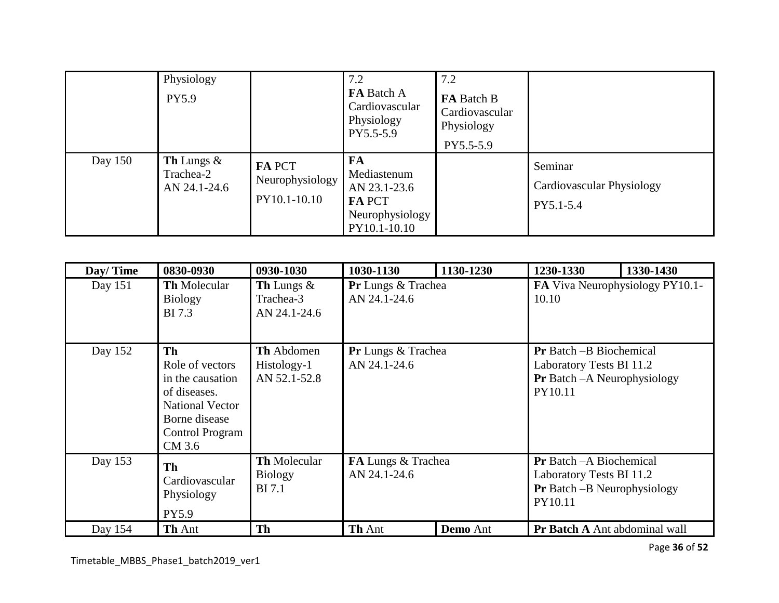|         | Physiology<br>PY5.9                               |                                           | 7.2<br>FA Batch A<br>Cardiovascular<br>Physiology<br>PY5.5-5.9                        | 7.2<br>FA Batch B<br>Cardiovascular<br>Physiology<br>PY5.5-5.9 |                                                          |
|---------|---------------------------------------------------|-------------------------------------------|---------------------------------------------------------------------------------------|----------------------------------------------------------------|----------------------------------------------------------|
| Day 150 | <b>Th</b> Lungs $\&$<br>Trachea-2<br>AN 24.1-24.6 | FA PCT<br>Neurophysiology<br>PY10.1-10.10 | FA<br>Mediastenum<br>AN 23.1-23.6<br><b>FA PCT</b><br>Neurophysiology<br>PY10.1-10.10 |                                                                | Seminar<br><b>Cardiovascular Physiology</b><br>PY5.1-5.4 |

| Day/Time | 0830-0930                                                                                                                                | 0930-1030                                              | 1030-1130                                 | 1130-1230       | 1230-1330                                                                                                     | 1330-1430 |
|----------|------------------------------------------------------------------------------------------------------------------------------------------|--------------------------------------------------------|-------------------------------------------|-----------------|---------------------------------------------------------------------------------------------------------------|-----------|
| Day 151  | <b>Th Molecular</b><br><b>Biology</b><br><b>BI</b> 7.3                                                                                   | Th Lungs &<br>Trachea-3<br>AN 24.1-24.6                | <b>Pr</b> Lungs & Trachea<br>AN 24.1-24.6 |                 | FA Viva Neurophysiology PY10.1-<br>10.10                                                                      |           |
| Day 152  | Th<br>Role of vectors<br>in the causation<br>of diseases.<br><b>National Vector</b><br>Borne disease<br><b>Control Program</b><br>CM 3.6 | <b>Th</b> Abdomen<br>Histology-1<br>AN 52.1-52.8       | Pr Lungs & Trachea<br>AN 24.1-24.6        |                 | <b>Pr</b> Batch -B Biochemical<br>Laboratory Tests BI 11.2<br><b>Pr</b> Batch - A Neurophysiology<br>PY10.11  |           |
| Day 153  | Th<br>Cardiovascular<br>Physiology<br>PY5.9                                                                                              | <b>Th Molecular</b><br><b>Biology</b><br><b>BI</b> 7.1 | FA Lungs & Trachea<br>AN 24.1-24.6        |                 | <b>Pr</b> Batch - A Biochemical<br>Laboratory Tests BI 11.2<br><b>Pr</b> Batch – B Neurophysiology<br>PY10.11 |           |
| Day 154  | Th Ant                                                                                                                                   | <b>Th</b>                                              | Th Ant                                    | <b>Demo</b> Ant | Pr Batch A Ant abdominal wall                                                                                 |           |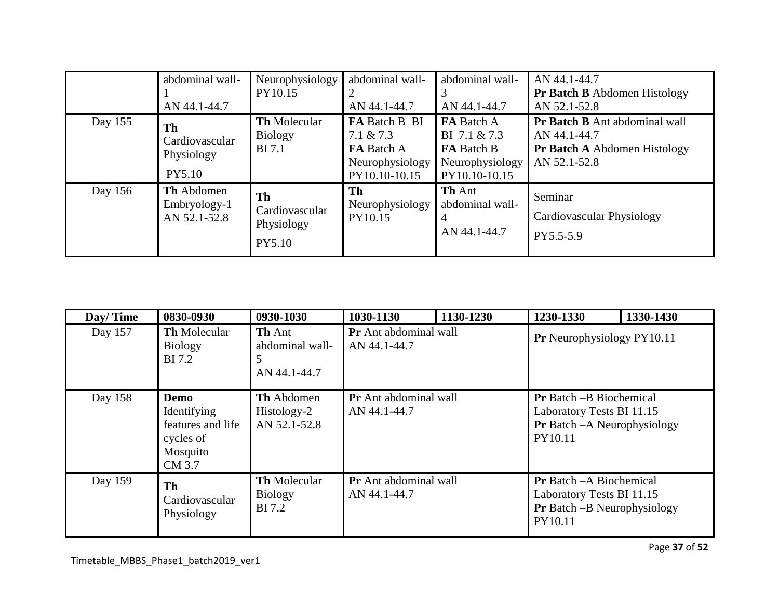|         | abdominal wall-<br>AN 44.1-44.7              | Neurophysiology<br>PY10.15                             | abdominal wall-<br>AN 44.1-44.7                                                        | abdominal wall-<br>AN 44.1-44.7                                                     | AN 44.1-44.7<br><b>Pr Batch B</b> Abdomen Histology<br>AN 52.1-52.8                                  |
|---------|----------------------------------------------|--------------------------------------------------------|----------------------------------------------------------------------------------------|-------------------------------------------------------------------------------------|------------------------------------------------------------------------------------------------------|
| Day 155 | Th<br>Cardiovascular<br>Physiology<br>PY5.10 | <b>Th Molecular</b><br><b>Biology</b><br><b>BI</b> 7.1 | FA Batch B BI<br>$7.1 \& 7.3$<br><b>FA</b> Batch A<br>Neurophysiology<br>PY10.10-10.15 | FA Batch A<br>BI 7.1 & 7.3<br><b>FA</b> Batch B<br>Neurophysiology<br>PY10.10-10.15 | Pr Batch B Ant abdominal wall<br>AN 44.1-44.7<br><b>Pr Batch A Abdomen Histology</b><br>AN 52.1-52.8 |
| Day 156 | Th Abdomen<br>Embryology-1<br>AN 52.1-52.8   | Th<br>Cardiovascular<br>Physiology<br>PY5.10           | Th<br>Neurophysiology<br>PY10.15                                                       | <b>Th Ant</b><br>abdominal wall-<br>4<br>AN 44.1-44.7                               | Seminar<br>Cardiovascular Physiology<br>PY5.5-5.9                                                    |

| Day/Time | 0830-0930                                                                   | 0930-1030                                        | 1030-1130                                    | 1130-1230 | 1230-1330                                                                                                      | 1330-1430 |
|----------|-----------------------------------------------------------------------------|--------------------------------------------------|----------------------------------------------|-----------|----------------------------------------------------------------------------------------------------------------|-----------|
| Day 157  | <b>Th</b> Molecular<br><b>Biology</b><br>BI 7.2                             | <b>Th</b> Ant<br>abdominal wall-<br>AN 44.1-44.7 | Pr Ant abdominal wall<br>AN 44.1-44.7        |           | Pr Neurophysiology PY10.11                                                                                     |           |
| Day 158  | Demo<br>Identifying<br>features and life<br>cycles of<br>Mosquito<br>CM 3.7 | <b>Th</b> Abdomen<br>Histology-2<br>AN 52.1-52.8 | Pr Ant abdominal wall<br>AN 44.1-44.7        |           | <b>Pr</b> Batch -B Biochemical<br>Laboratory Tests BI 11.15<br><b>Pr</b> Batch - A Neurophysiology<br>PY10.11  |           |
| Day 159  | Th<br>Cardiovascular<br>Physiology                                          | <b>Th Molecular</b><br><b>Biology</b><br>BI 7.2  | <b>Pr</b> Ant abdominal wall<br>AN 44.1-44.7 |           | <b>Pr</b> Batch - A Biochemical<br>Laboratory Tests BI 11.15<br><b>Pr</b> Batch – B Neurophysiology<br>PY10.11 |           |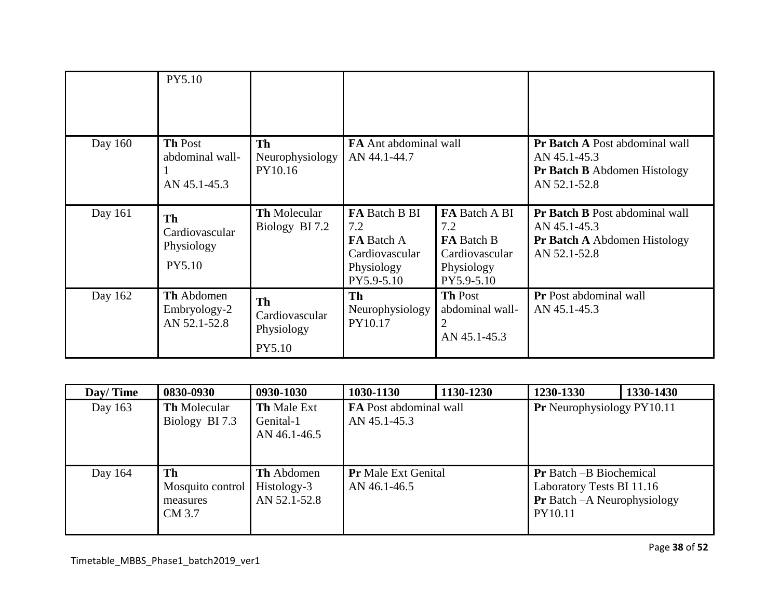|         | PY5.10                                            |                                                     |                                                                                         |                                                                                         |                                                                                                       |
|---------|---------------------------------------------------|-----------------------------------------------------|-----------------------------------------------------------------------------------------|-----------------------------------------------------------------------------------------|-------------------------------------------------------------------------------------------------------|
| Day 160 | <b>Th Post</b><br>abdominal wall-<br>AN 45.1-45.3 | <b>Th</b><br>Neurophysiology<br>PY10.16             | FA Ant abdominal wall<br>AN 44.1-44.7                                                   |                                                                                         | Pr Batch A Post abdominal wall<br>AN 45.1-45.3<br><b>Pr Batch B</b> Abdomen Histology<br>AN 52.1-52.8 |
| Day 161 | Th<br>Cardiovascular<br>Physiology<br>PY5.10      | <b>Th Molecular</b><br>Biology BI 7.2               | FA Batch B BI<br>7.2<br><b>FA</b> Batch A<br>Cardiovascular<br>Physiology<br>PY5.9-5.10 | FA Batch A BI<br>7.2<br><b>FA</b> Batch B<br>Cardiovascular<br>Physiology<br>PY5.9-5.10 | Pr Batch B Post abdominal wall<br>AN 45.1-45.3<br><b>Pr Batch A Abdomen Histology</b><br>AN 52.1-52.8 |
| Day 162 | <b>Th</b> Abdomen<br>Embryology-2<br>AN 52.1-52.8 | <b>Th</b><br>Cardiovascular<br>Physiology<br>PY5.10 | Th<br>Neurophysiology<br>PY10.17                                                        | <b>Th Post</b><br>abdominal wall-<br>2<br>AN 45.1-45.3                                  | <b>Pr</b> Post abdominal wall<br>AN 45.1-45.3                                                         |

| Day/Time | 0830-0930                                    | 0930-1030                                       | 1030-1130                                     | 1130-1230 | 1230-1330                                                                                                     | 1330-1430 |
|----------|----------------------------------------------|-------------------------------------------------|-----------------------------------------------|-----------|---------------------------------------------------------------------------------------------------------------|-----------|
| Day 163  | <b>Th</b> Molecular<br>Biology BI 7.3        | <b>Th Male Ext</b><br>Genital-1<br>AN 46.1-46.5 | <b>FA</b> Post abdominal wall<br>AN 45.1-45.3 |           | <b>Pr</b> Neurophysiology PY10.11                                                                             |           |
| Day 164  | Th<br>Mosquito control<br>measures<br>CM 3.7 | Th Abdomen<br>Histology-3<br>AN 52.1-52.8       | <b>Pr</b> Male Ext Genital<br>AN 46.1-46.5    |           | <b>Pr</b> Batch –B Biochemical<br>Laboratory Tests BI 11.16<br><b>Pr</b> Batch - A Neurophysiology<br>PY10.11 |           |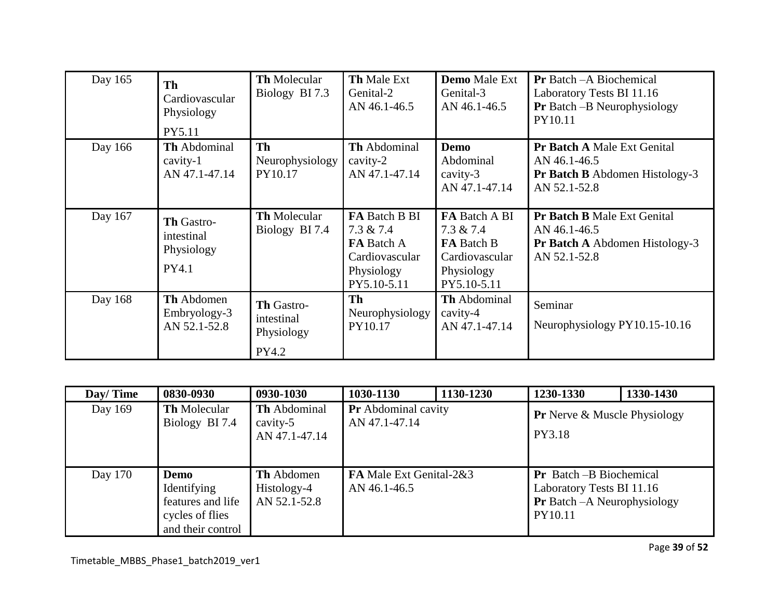| Day 165 | Th<br>Cardiovascular<br>Physiology<br>PY5.11       | <b>Th</b> Molecular<br>Biology BI 7.3           | <b>Th Male Ext</b><br>Genital-2<br>AN 46.1-46.5                                                          | <b>Demo</b> Male Ext<br>Genital-3<br>AN 46.1-46.5                                                 | <b>Pr</b> Batch – A Biochemical<br>Laboratory Tests BI 11.16<br><b>Pr</b> Batch $-B$ Neurophysiology<br>PY10.11 |
|---------|----------------------------------------------------|-------------------------------------------------|----------------------------------------------------------------------------------------------------------|---------------------------------------------------------------------------------------------------|-----------------------------------------------------------------------------------------------------------------|
| Day 166 | <b>Th</b> Abdominal<br>$cavity-1$<br>AN 47.1-47.14 | <b>Th</b><br>Neurophysiology<br>PY10.17         | <b>Th</b> Abdominal<br>cavity-2<br>AN 47.1-47.14                                                         | <b>Demo</b><br>Abdominal<br>cavity-3<br>AN 47.1-47.14                                             | Pr Batch A Male Ext Genital<br>AN 46.1-46.5<br><b>Pr Batch B</b> Abdomen Histology-3<br>AN 52.1-52.8            |
| Day 167 | Th Gastro-<br>intestinal<br>Physiology<br>PY4.1    | <b>Th Molecular</b><br>Biology BI 7.4           | <b>FA Batch B BI</b><br>$7.3 \& 7.4$<br><b>FA</b> Batch A<br>Cardiovascular<br>Physiology<br>PY5.10-5.11 | FA Batch A BI<br>$7.3 \& 7.4$<br><b>FA</b> Batch B<br>Cardiovascular<br>Physiology<br>PY5.10-5.11 | Pr Batch B Male Ext Genital<br>AN 46.1-46.5<br><b>Pr Batch A Abdomen Histology-3</b><br>AN 52.1-52.8            |
| Day 168 | Th Abdomen<br>Embryology-3<br>AN 52.1-52.8         | Th Gastro-<br>intestinal<br>Physiology<br>PY4.2 | Th<br>Neurophysiology<br>PY10.17                                                                         | <b>Th</b> Abdominal<br>cavity-4<br>AN 47.1-47.14                                                  | Seminar<br>Neurophysiology PY10.15-10.16                                                                        |

| Day/Time | 0830-0930                                                                        | 0930-1030                                        | 1030-1130                                   | 1130-1230 | 1230-1330                                                                                                     | 1330-1430 |
|----------|----------------------------------------------------------------------------------|--------------------------------------------------|---------------------------------------------|-----------|---------------------------------------------------------------------------------------------------------------|-----------|
| Day 169  | <b>Th</b> Molecular<br>Biology BI 7.4                                            | Th Abdominal<br>cavity-5<br>AN 47.1-47.14        | <b>Pr</b> Abdominal cavity<br>AN 47.1-47.14 |           | <b>Pr</b> Nerve & Muscle Physiology<br>PY3.18                                                                 |           |
| Day 170  | Demo<br>Identifying<br>features and life<br>cycles of flies<br>and their control | <b>Th</b> Abdomen<br>Histology-4<br>AN 52.1-52.8 | FA Male Ext Genital-2&3<br>AN 46.1-46.5     |           | <b>Pr</b> Batch -B Biochemical<br>Laboratory Tests BI 11.16<br><b>Pr</b> Batch - A Neurophysiology<br>PY10.11 |           |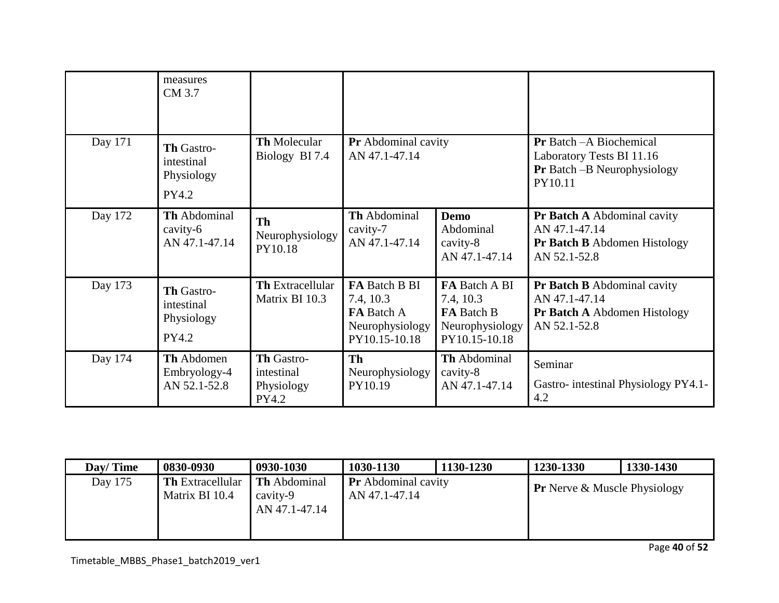|         | measures<br>CM 3.7                                     |                                                 |                                                                                     |                                                                              |                                                                                                               |
|---------|--------------------------------------------------------|-------------------------------------------------|-------------------------------------------------------------------------------------|------------------------------------------------------------------------------|---------------------------------------------------------------------------------------------------------------|
| Day 171 | Th Gastro-<br>intestinal<br>Physiology<br>PY4.2        | Th Molecular<br>Biology BI 7.4                  | <b>Pr</b> Abdominal cavity<br>AN 47.1-47.14                                         |                                                                              | <b>Pr</b> Batch – A Biochemical<br>Laboratory Tests BI 11.16<br><b>Pr</b> Batch -B Neurophysiology<br>PY10.11 |
| Day 172 | Th Abdominal<br>cavity-6<br>AN 47.1-47.14              | <b>Th</b><br>Neurophysiology<br>PY10.18         | Th Abdominal<br>cavity-7<br>AN 47.1-47.14                                           | <b>Demo</b><br>Abdominal<br>cavity-8<br>AN 47.1-47.14                        | Pr Batch A Abdominal cavity<br>AN 47.1-47.14<br><b>Pr Batch B</b> Abdomen Histology<br>AN 52.1-52.8           |
| Day 173 | Th Gastro-<br>intestinal<br>Physiology<br><b>PY4.2</b> | Th Extracellular<br>Matrix BI 10.3              | FA Batch B BI<br>7.4, 10.3<br><b>FA</b> Batch A<br>Neurophysiology<br>PY10.15-10.18 | FA Batch A BI<br>7.4, 10.3<br>FA Batch B<br>Neurophysiology<br>PY10.15-10.18 | Pr Batch B Abdominal cavity<br>AN 47.1-47.14<br><b>Pr Batch A Abdomen Histology</b><br>AN 52.1-52.8           |
| Day 174 | Th Abdomen<br>Embryology-4<br>AN 52.1-52.8             | Th Gastro-<br>intestinal<br>Physiology<br>PY4.2 | Th<br>Neurophysiology<br>PY10.19                                                    | Th Abdominal<br>cavity-8<br>AN 47.1-47.14                                    | Seminar<br>Gastro- intestinal Physiology PY4.1-<br>4.2                                                        |

| Dav/Time | 0830-0930                                 | 0930-1030                                        | 1030-1130                                   | 1130-1230 | 1230-1330                           | 1330-1430 |
|----------|-------------------------------------------|--------------------------------------------------|---------------------------------------------|-----------|-------------------------------------|-----------|
| Day 175  | <b>Th</b> Extracellular<br>Matrix BI 10.4 | <b>Th</b> Abdominal<br>cavity-9<br>AN 47.1-47.14 | <b>Pr</b> Abdominal cavity<br>AN 47.1-47.14 |           | <b>Pr</b> Nerve & Muscle Physiology |           |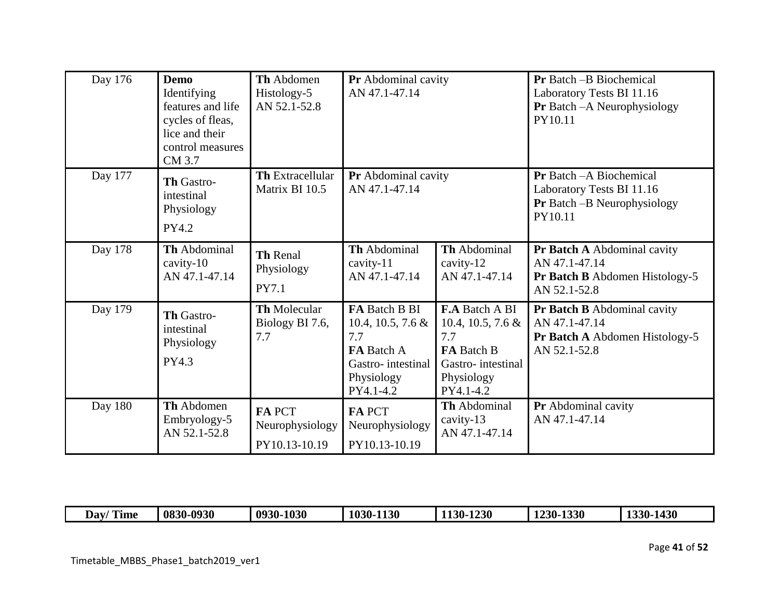| Day 176        | <b>Demo</b><br>Identifying<br>features and life<br>cycles of fleas,<br>lice and their<br>control measures<br>CM 3.7 | Th Abdomen<br>Histology-5<br>AN 52.1-52.8     | Pr Abdominal cavity<br>AN 47.1-47.14                                                                       |                                                                                                                    | <b>Pr</b> Batch -B Biochemical<br>Laboratory Tests BI 11.16<br>Pr Batch - A Neurophysiology<br>PY10.11        |
|----------------|---------------------------------------------------------------------------------------------------------------------|-----------------------------------------------|------------------------------------------------------------------------------------------------------------|--------------------------------------------------------------------------------------------------------------------|---------------------------------------------------------------------------------------------------------------|
| Day 177        | Th Gastro-<br>intestinal<br>Physiology<br>PY4.2                                                                     | <b>Th Extracellular</b><br>Matrix BI 10.5     | Pr Abdominal cavity<br>AN 47.1-47.14                                                                       |                                                                                                                    | <b>Pr</b> Batch - A Biochemical<br>Laboratory Tests BI 11.16<br><b>Pr</b> Batch -B Neurophysiology<br>PY10.11 |
| Day 178        | Th Abdominal<br>cavity-10<br>AN 47.1-47.14                                                                          | Th Renal<br>Physiology<br>PY7.1               | Th Abdominal<br>cavity-11<br>AN 47.1-47.14                                                                 | Th Abdominal<br>cavity-12<br>AN 47.1-47.14                                                                         | Pr Batch A Abdominal cavity<br>AN 47.1-47.14<br>Pr Batch B Abdomen Histology-5<br>AN 52.1-52.8                |
| Day 179        | Th Gastro-<br>intestinal<br>Physiology<br>PY4.3                                                                     | <b>Th Molecular</b><br>Biology BI 7.6,<br>7.7 | FA Batch B BI<br>10.4, 10.5, 7.6 $\&$<br>7.7<br>FA Batch A<br>Gastro-intestinal<br>Physiology<br>PY4.1-4.2 | <b>F.A</b> Batch A BI<br>10.4, 10.5, 7.6 $\&$<br>7.7<br>FA Batch B<br>Gastro-intestinal<br>Physiology<br>PY4.1-4.2 | Pr Batch B Abdominal cavity<br>AN 47.1-47.14<br>Pr Batch A Abdomen Histology-5<br>AN 52.1-52.8                |
| <b>Day 180</b> | Th Abdomen<br>Embryology-5<br>AN 52.1-52.8                                                                          | FA PCT<br>Neurophysiology<br>PY10.13-10.19    | <b>FAPCT</b><br>Neurophysiology<br>PY10.13-10.19                                                           | Th Abdominal<br>cavity-13<br>AN 47.1-47.14                                                                         | Pr Abdominal cavity<br>AN 47.1-47.14                                                                          |

| _<br>$\mathbf{m}$<br>Dav<br>Time | 0830-0930 | 0930-1030 | $-1130$<br>103 <sup>o</sup><br>VI- | 1230<br>$1130 -$ | 1330<br>$230 -$ | 430<br>$1330 -$ |
|----------------------------------|-----------|-----------|------------------------------------|------------------|-----------------|-----------------|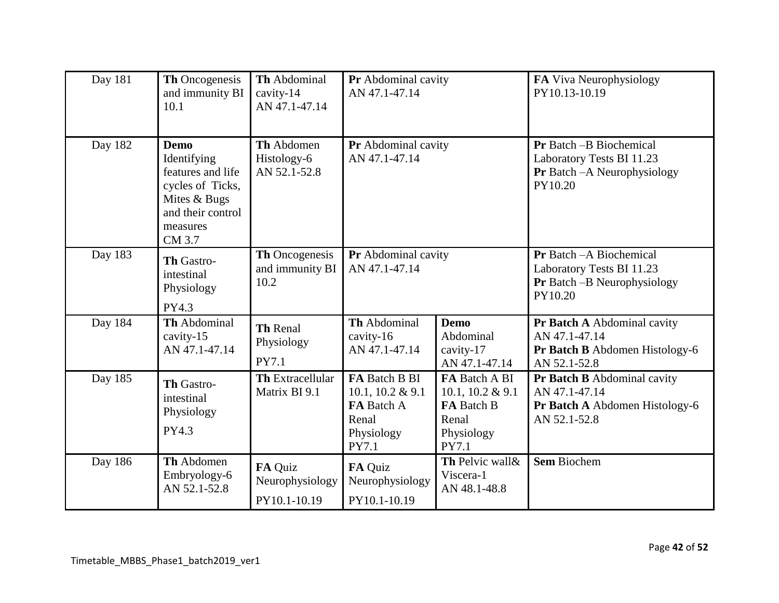| Day $18\overline{1}$ | Th Oncogenesis<br>and immunity BI<br>10.1                                                                                      | Th Abdominal<br>cavity-14<br>AN 47.1-47.14 | Pr Abdominal cavity<br>AN 47.1-47.14                                            |                                                                                        | FA Viva Neurophysiology<br>PY10.13-10.19                                                               |
|----------------------|--------------------------------------------------------------------------------------------------------------------------------|--------------------------------------------|---------------------------------------------------------------------------------|----------------------------------------------------------------------------------------|--------------------------------------------------------------------------------------------------------|
| Day 182              | <b>Demo</b><br>Identifying<br>features and life<br>cycles of Ticks,<br>Mites & Bugs<br>and their control<br>measures<br>CM 3.7 | Th Abdomen<br>Histology-6<br>AN 52.1-52.8  | Pr Abdominal cavity<br>AN 47.1-47.14                                            |                                                                                        | <b>Pr</b> Batch -B Biochemical<br>Laboratory Tests BI 11.23<br>Pr Batch - A Neurophysiology<br>PY10.20 |
| Day 183              | Th Gastro-<br>intestinal<br>Physiology<br>PY4.3                                                                                | Th Oncogenesis<br>and immunity BI<br>10.2  | Pr Abdominal cavity<br>AN 47.1-47.14                                            |                                                                                        | Pr Batch - A Biochemical<br>Laboratory Tests BI 11.23<br><b>Pr</b> Batch -B Neurophysiology<br>PY10.20 |
| Day 184              | Th Abdominal<br>cavity-15<br>AN 47.1-47.14                                                                                     | Th Renal<br>Physiology<br><b>PY7.1</b>     | Th Abdominal<br>cavity-16<br>AN 47.1-47.14                                      | <b>Demo</b><br>Abdominal<br>cavity-17<br>AN 47.1-47.14                                 | Pr Batch A Abdominal cavity<br>AN 47.1-47.14<br>Pr Batch B Abdomen Histology-6<br>AN 52.1-52.8         |
| Day 185              | Th Gastro-<br>intestinal<br>Physiology<br>PY4.3                                                                                | <b>Th Extracellular</b><br>Matrix BI 9.1   | FA Batch B BI<br>10.1, 10.2 & 9.1<br>FA Batch A<br>Renal<br>Physiology<br>PY7.1 | FA Batch A BI<br>10.1, 10.2 & 9.1<br><b>FA Batch B</b><br>Renal<br>Physiology<br>PY7.1 | Pr Batch B Abdominal cavity<br>AN 47.1-47.14<br>Pr Batch A Abdomen Histology-6<br>AN 52.1-52.8         |
| Day 186              | Th Abdomen<br>Embryology-6<br>AN 52.1-52.8                                                                                     | FA Quiz<br>Neurophysiology<br>PY10.1-10.19 | FA Quiz<br>Neurophysiology<br>PY10.1-10.19                                      | Th Pelvic wall &<br>Viscera-1<br>AN 48.1-48.8                                          | <b>Sem Biochem</b>                                                                                     |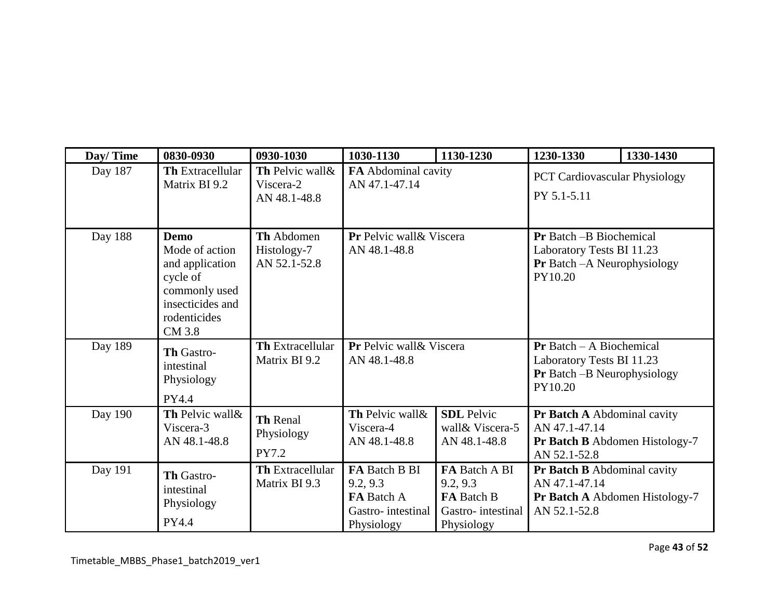| Day/Time | 0830-0930                                                                                                                   | 0930-1030                                     | 1030-1130                                                                         | 1130-1230                                                                         | 1230-1330                                                                                                     | 1330-1430 |
|----------|-----------------------------------------------------------------------------------------------------------------------------|-----------------------------------------------|-----------------------------------------------------------------------------------|-----------------------------------------------------------------------------------|---------------------------------------------------------------------------------------------------------------|-----------|
| Day 187  | <b>Th Extracellular</b><br>Matrix BI 9.2                                                                                    | Th Pelvic wall &<br>Viscera-2<br>AN 48.1-48.8 | FA Abdominal cavity<br>AN 47.1-47.14                                              |                                                                                   | <b>PCT Cardiovascular Physiology</b><br>PY 5.1-5.11                                                           |           |
| Day 188  | <b>Demo</b><br>Mode of action<br>and application<br>cycle of<br>commonly used<br>insecticides and<br>rodenticides<br>CM 3.8 | Th Abdomen<br>Histology-7<br>AN 52.1-52.8     | Pr Pelvic wall & Viscera<br>AN 48.1-48.8                                          |                                                                                   | <b>Pr</b> Batch -B Biochemical<br>Laboratory Tests BI 11.23<br><b>Pr</b> Batch - A Neurophysiology<br>PY10.20 |           |
| Day 189  | Th Gastro-<br>intestinal<br>Physiology<br><b>PY4.4</b>                                                                      | <b>Th Extracellular</b><br>Matrix BI 9.2      | Pr Pelvic wall & Viscera<br>AN 48.1-48.8                                          |                                                                                   | <b>Pr</b> Batch $-$ A Biochemical<br>Laboratory Tests BI 11.23<br>Pr Batch -B Neurophysiology<br>PY10.20      |           |
| Day 190  | Th Pelvic wall&<br>Viscera-3<br>AN 48.1-48.8                                                                                | Th Renal<br>Physiology<br>PY7.2               | Th Pelvic wall&<br>Viscera-4<br>AN 48.1-48.8                                      | <b>SDL</b> Pelvic<br>wall & Viscera-5<br>AN 48.1-48.8                             | Pr Batch A Abdominal cavity<br>AN 47.1-47.14<br>Pr Batch B Abdomen Histology-7<br>AN 52.1-52.8                |           |
| Day 191  | Th Gastro-<br>intestinal<br>Physiology<br>PY4.4                                                                             | <b>Th Extracellular</b><br>Matrix BI 9.3      | <b>FA Batch B BI</b><br>9.2, 9.3<br>FA Batch A<br>Gastro-intestinal<br>Physiology | FA Batch A BI<br>9.2, 9.3<br><b>FA</b> Batch B<br>Gastro-intestinal<br>Physiology | Pr Batch B Abdominal cavity<br>AN 47.1-47.14<br>Pr Batch A Abdomen Histology-7<br>AN 52.1-52.8                |           |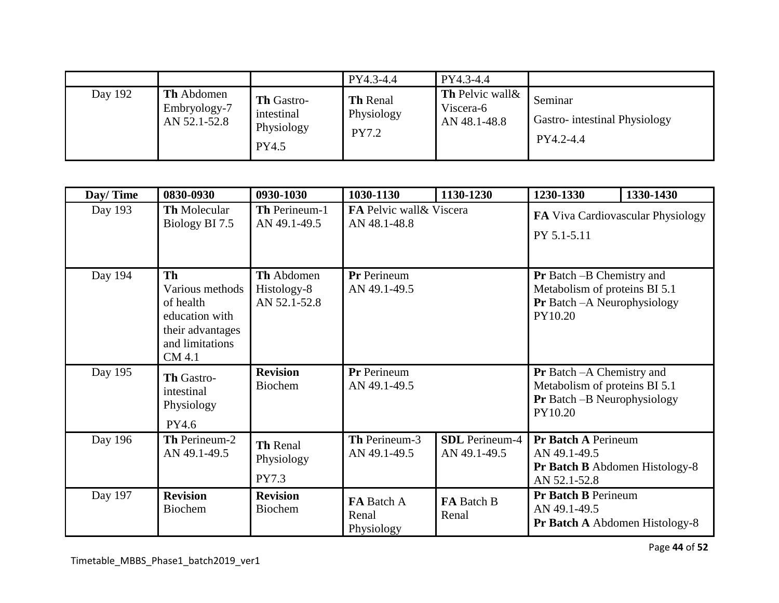|         |                                            |                                                        | PY4.3-4.4                                     | PY4.3-4.4                                            |                                                      |
|---------|--------------------------------------------|--------------------------------------------------------|-----------------------------------------------|------------------------------------------------------|------------------------------------------------------|
| Day 192 | Th Abdomen<br>Embryology-7<br>AN 52.1-52.8 | <b>Th Gastro-</b><br>intestinal<br>Physiology<br>PY4.5 | <b>Th Renal</b><br>Physiology<br><b>PY7.2</b> | <b>Th</b> Pelvic wall &<br>Viscera-6<br>AN 48.1-48.8 | Seminar<br>Gastro-intestinal Physiology<br>PY4.2-4.4 |

| Day/Time | 0830-0930                                                                                                    | 0930-1030                                 | 1030-1130                         | 1130-1230                             | 1230-1330                                                                                                          | 1330-1430                         |
|----------|--------------------------------------------------------------------------------------------------------------|-------------------------------------------|-----------------------------------|---------------------------------------|--------------------------------------------------------------------------------------------------------------------|-----------------------------------|
| Day 193  | Th Molecular<br>Biology BI 7.5                                                                               | Th Perineum-1<br>AN 49.1-49.5             | AN 48.1-48.8                      | FA Pelvic wall & Viscera              |                                                                                                                    | FA Viva Cardiovascular Physiology |
| Day 194  | <b>Th</b><br>Various methods<br>of health<br>education with<br>their advantages<br>and limitations<br>CM 4.1 | Th Abdomen<br>Histology-8<br>AN 52.1-52.8 | Pr Perineum<br>AN 49.1-49.5       |                                       | <b>Pr</b> Batch -B Chemistry and<br>Metabolism of proteins BI 5.1<br>Pr Batch - A Neurophysiology<br>PY10.20       |                                   |
| Day 195  | Th Gastro-<br>intestinal<br>Physiology<br>PY4.6                                                              | <b>Revision</b><br>Biochem                | Pr Perineum<br>AN 49.1-49.5       |                                       | <b>Pr</b> Batch -A Chemistry and<br>Metabolism of proteins BI 5.1<br><b>Pr</b> Batch -B Neurophysiology<br>PY10.20 |                                   |
| Day 196  | Th Perineum-2<br>AN 49.1-49.5                                                                                | Th Renal<br>Physiology<br>PY7.3           | Th Perineum-3<br>AN 49.1-49.5     | <b>SDL</b> Perineum-4<br>AN 49.1-49.5 | <b>Pr Batch A Perineum</b><br>AN 49.1-49.5<br>Pr Batch B Abdomen Histology-8<br>AN 52.1-52.8                       |                                   |
| Day 197  | <b>Revision</b><br><b>Biochem</b>                                                                            | <b>Revision</b><br><b>Biochem</b>         | FA Batch A<br>Renal<br>Physiology | FA Batch B<br>Renal                   | <b>Pr Batch B Perineum</b><br>AN 49.1-49.5<br><b>Pr Batch A Abdomen Histology-8</b>                                |                                   |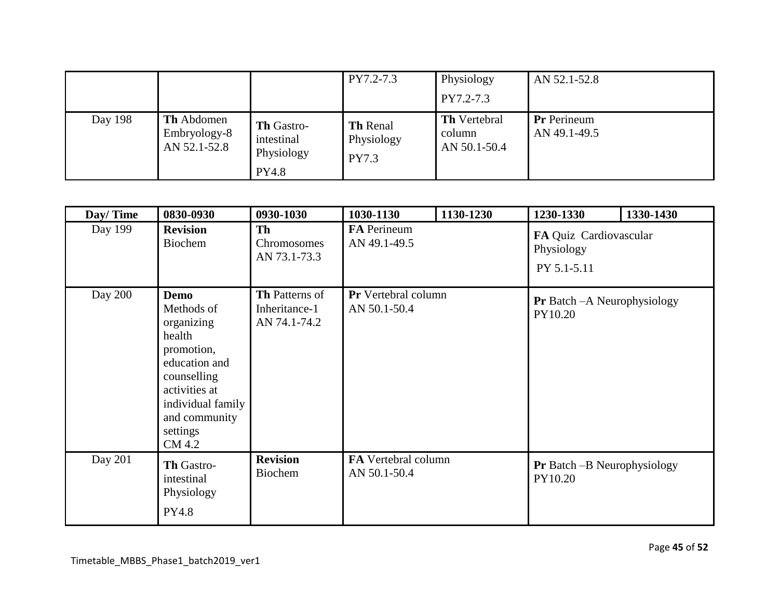|         |                                                   |                                                               | PY7.2-7.3                                     | Physiology<br>PY7.2-7.3                       | AN 52.1-52.8                       |
|---------|---------------------------------------------------|---------------------------------------------------------------|-----------------------------------------------|-----------------------------------------------|------------------------------------|
| Day 198 | <b>Th</b> Abdomen<br>Embryology-8<br>AN 52.1-52.8 | <b>Th Gastro-</b><br>intestinal<br>Physiology<br><b>PY4.8</b> | <b>Th Renal</b><br>Physiology<br><b>PY7.3</b> | <b>Th</b> Vertebral<br>column<br>AN 50.1-50.4 | <b>Pr</b> Perineum<br>AN 49.1-49.5 |

| Day/Time | 0830-0930                                                                                                                                                                    | 0930-1030                                              | 1030-1130                                  | 1130-1230 | 1230-1330                                           | 1330-1430 |
|----------|------------------------------------------------------------------------------------------------------------------------------------------------------------------------------|--------------------------------------------------------|--------------------------------------------|-----------|-----------------------------------------------------|-----------|
| Day 199  | <b>Revision</b><br>Biochem                                                                                                                                                   | Th<br>Chromosomes<br>AN 73.1-73.3                      | FA Perineum<br>AN 49.1-49.5                |           | FA Quiz Cardiovascular<br>Physiology<br>PY 5.1-5.11 |           |
| Day 200  | <b>Demo</b><br>Methods of<br>organizing<br>health<br>promotion,<br>education and<br>counselling<br>activities at<br>individual family<br>and community<br>settings<br>CM 4.2 | <b>Th</b> Patterns of<br>Inheritance-1<br>AN 74.1-74.2 | Pr Vertebral column<br>AN 50.1-50.4        |           | <b>Pr</b> Batch - A Neurophysiology<br>PY10.20      |           |
| Day 201  | <b>Th Gastro-</b><br>intestinal<br>Physiology<br>PY4.8                                                                                                                       | <b>Revision</b><br><b>Biochem</b>                      | <b>FA</b> Vertebral column<br>AN 50.1-50.4 |           | <b>Pr</b> Batch – B Neurophysiology<br>PY10.20      |           |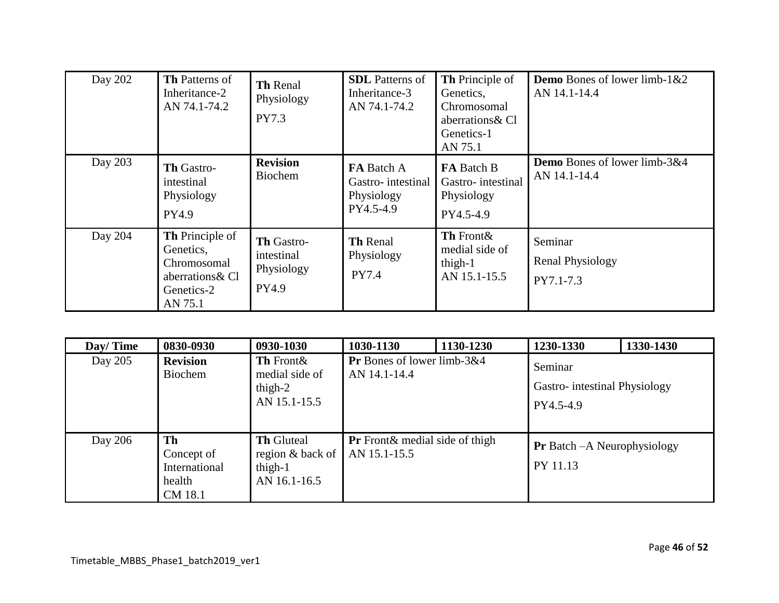| Day 202 | <b>Th Patterns of</b><br>Inheritance-2<br>AN 74.1-74.2                                          | <b>Th Renal</b><br>Physiology<br>PY7.3          | <b>SDL</b> Patterns of<br>Inheritance-3<br>AN 74.1-74.2    | <b>Th</b> Principle of<br>Genetics,<br>Chromosomal<br>aberrations & Cl<br>Genetics-1<br>AN 75.1 | <b>Demo</b> Bones of lower limb- $1&2$<br>AN 14.1-14.4 |
|---------|-------------------------------------------------------------------------------------------------|-------------------------------------------------|------------------------------------------------------------|-------------------------------------------------------------------------------------------------|--------------------------------------------------------|
| Day 203 | Th Gastro-<br>intestinal<br>Physiology<br>PY4.9                                                 | <b>Revision</b><br><b>Biochem</b>               | FA Batch A<br>Gastro-intestinal<br>Physiology<br>PY4.5-4.9 | <b>FA</b> Batch B<br>Gastro-intestinal<br>Physiology<br>PY4.5-4.9                               | Demo Bones of lower limb-3&4<br>AN 14.1-14.4           |
| Day 204 | <b>Th</b> Principle of<br>Genetics,<br>Chromosomal<br>aberrations & Cl<br>Genetics-2<br>AN 75.1 | Th Gastro-<br>intestinal<br>Physiology<br>PY4.9 | Th Renal<br>Physiology<br><b>PY7.4</b>                     | Th Front &<br>medial side of<br>thigh-1<br>AN 15.1-15.5                                         | Seminar<br><b>Renal Physiology</b><br>PY7.1-7.3        |

| Day/Time | 0830-0930                                              | 0930-1030                                                           | 1030-1130                                             | 1130-1230 | 1230-1330                                            | 1330-1430 |
|----------|--------------------------------------------------------|---------------------------------------------------------------------|-------------------------------------------------------|-----------|------------------------------------------------------|-----------|
| Day 205  | <b>Revision</b><br><b>Biochem</b>                      | Th Front &<br>medial side of<br>thigh- $2$<br>AN 15.1-15.5          | Pr Bones of lower limb-3&4<br>AN 14.1-14.4            |           | Seminar<br>Gastro-intestinal Physiology<br>PY4.5-4.9 |           |
| Day 206  | Th<br>Concept of<br>International<br>health<br>CM 18.1 | <b>Th Gluteal</b><br>region & back of<br>thigh- $1$<br>AN 16.1-16.5 | <b>Pr</b> Front& medial side of thigh<br>AN 15.1-15.5 |           | <b>Pr</b> Batch – A Neurophysiology<br>PY 11.13      |           |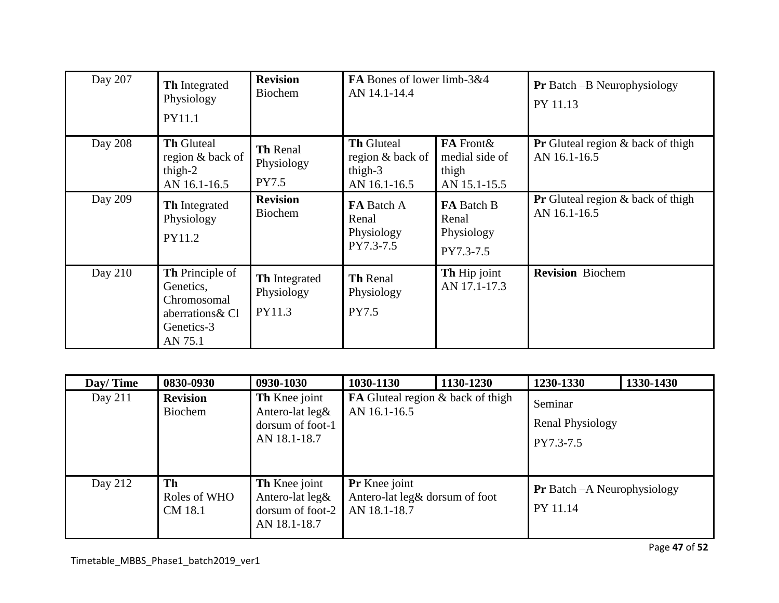| Day 207 | Th Integrated<br>Physiology<br>PY11.1                                                           | <b>Revision</b><br><b>Biochem</b>            | FA Bones of lower limb-3&4<br>AN 14.1-14.4                       |                                                       | <b>Pr</b> Batch – B Neurophysiology<br>PY 11.13             |
|---------|-------------------------------------------------------------------------------------------------|----------------------------------------------|------------------------------------------------------------------|-------------------------------------------------------|-------------------------------------------------------------|
| Day 208 | <b>Th Gluteal</b><br>region & back of<br>thigh- $2$<br>AN 16.1-16.5                             | Th Renal<br>Physiology<br>PY7.5              | <b>Th Gluteal</b><br>region & back of<br>thigh-3<br>AN 16.1-16.5 | FA Front&<br>medial side of<br>thigh<br>AN 15.1-15.5  | <b>Pr</b> Gluteal region $\&$ back of thigh<br>AN 16.1-16.5 |
| Day 209 | Th Integrated<br>Physiology<br>PY11.2                                                           | <b>Revision</b><br><b>Biochem</b>            | FA Batch A<br>Renal<br>Physiology<br>PY7.3-7.5                   | <b>FA</b> Batch B<br>Renal<br>Physiology<br>PY7.3-7.5 | <b>Pr</b> Gluteal region $\&$ back of thigh<br>AN 16.1-16.5 |
| Day 210 | <b>Th</b> Principle of<br>Genetics,<br>Chromosomal<br>aberrations & Cl<br>Genetics-3<br>AN 75.1 | <b>Th</b> Integrated<br>Physiology<br>PY11.3 | <b>Th Renal</b><br>Physiology<br><b>PY7.5</b>                    | Th Hip joint<br>AN 17.1-17.3                          | <b>Revision</b> Biochem                                     |

| Day/Time  | 0830-0930                     | 0930-1030                                                                      | 1030-1130                                                              | 1130-1230 | 1230-1330                                       | 1330-1430 |
|-----------|-------------------------------|--------------------------------------------------------------------------------|------------------------------------------------------------------------|-----------|-------------------------------------------------|-----------|
| Day $211$ | <b>Revision</b><br>Biochem    | Th Knee joint<br>Antero-lat $leg\&$<br>dorsum of foot-1<br>AN 18.1-18.7        | <b>FA</b> Gluteal region & back of thigh<br>AN 16.1-16.5               |           | Seminar<br><b>Renal Physiology</b><br>PY7.3-7.5 |           |
| Day 212   | Th<br>Roles of WHO<br>CM 18.1 | Th Knee joint<br>Antero-lat $\text{leg}\&$<br>dorsum of foot-2<br>AN 18.1-18.7 | <b>Pr</b> Knee joint<br>Antero-lat leg& dorsum of foot<br>AN 18.1-18.7 |           | <b>Pr</b> Batch – A Neurophysiology<br>PY 11.14 |           |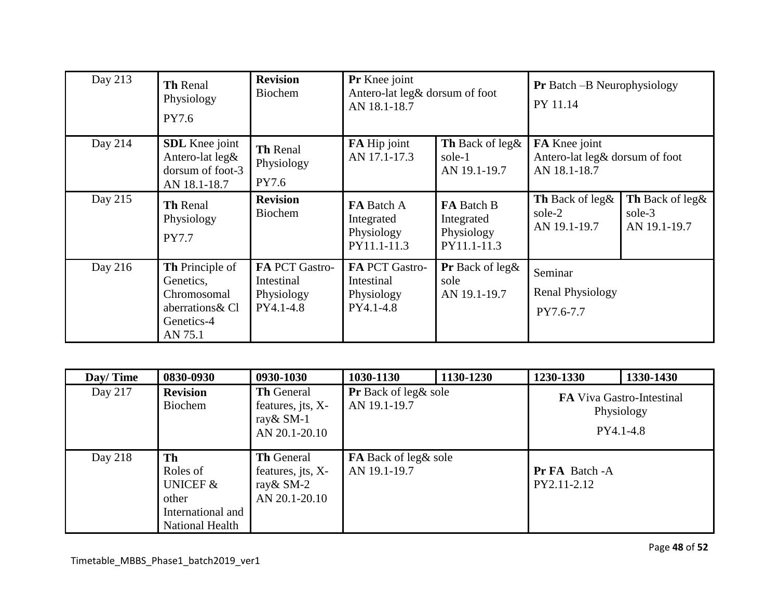| Day 213 | Th Renal<br>Physiology<br>PY7.6                                                          | <b>Revision</b><br><b>Biochem</b>                       | Pr Knee joint<br>Antero-lat leg& dorsum of foot<br>AN 18.1-18.7 |                                                              | <b>Pr</b> Batch -B Neurophysiology<br>PY 11.14                  |                                           |
|---------|------------------------------------------------------------------------------------------|---------------------------------------------------------|-----------------------------------------------------------------|--------------------------------------------------------------|-----------------------------------------------------------------|-------------------------------------------|
| Day 214 | <b>SDL</b> Knee joint<br>Antero-lat leg&<br>dorsum of foot-3<br>AN 18.1-18.7             | Th Renal<br>Physiology<br>PY7.6                         | FA Hip joint<br>AN 17.1-17.3                                    | Th Back of leg&<br>sole-1<br>AN 19.1-19.7                    | FA Knee joint<br>Antero-lat leg& dorsum of foot<br>AN 18.1-18.7 |                                           |
| Day 215 | Th Renal<br>Physiology<br><b>PY7.7</b>                                                   | <b>Revision</b><br><b>Biochem</b>                       | <b>FA</b> Batch A<br>Integrated<br>Physiology<br>PY11.1-11.3    | <b>FA</b> Batch B<br>Integrated<br>Physiology<br>PY11.1-11.3 | Th Back of leg&<br>sole-2<br>AN 19.1-19.7                       | Th Back of leg&<br>sole-3<br>AN 19.1-19.7 |
| Day 216 | Th Principle of<br>Genetics,<br>Chromosomal<br>aberrations & Cl<br>Genetics-4<br>AN 75.1 | FA PCT Gastro-<br>Intestinal<br>Physiology<br>PY4.1-4.8 | FA PCT Gastro-<br>Intestinal<br>Physiology<br>PY4.1-4.8         | Pr Back of leg&<br>sole<br>AN 19.1-19.7                      | Seminar<br><b>Renal Physiology</b><br>PY7.6-7.7                 |                                           |

| Day/Time | 0830-0930                                                                              | 0930-1030                                                             | 1030-1130                                   | 1130-1230 | 1230-1330                            | 1330-1430                                                   |
|----------|----------------------------------------------------------------------------------------|-----------------------------------------------------------------------|---------------------------------------------|-----------|--------------------------------------|-------------------------------------------------------------|
| Day 217  | <b>Revision</b><br>Biochem                                                             | <b>Th</b> General<br>features, jts, X-<br>ray & SM-1<br>AN 20.1-20.10 | Pr Back of leg& sole<br>AN 19.1-19.7        |           |                                      | <b>FA</b> Viva Gastro-Intestinal<br>Physiology<br>PY4.1-4.8 |
| Day 218  | Th<br>Roles of<br><b>UNICEF &amp;</b><br>other<br>International and<br>National Health | <b>Th</b> General<br>features, jts, X-<br>ray & SM-2<br>AN 20.1-20.10 | <b>FA</b> Back of leg& sole<br>AN 19.1-19.7 |           | <b>Pr FA</b> Batch -A<br>PY2.11-2.12 |                                                             |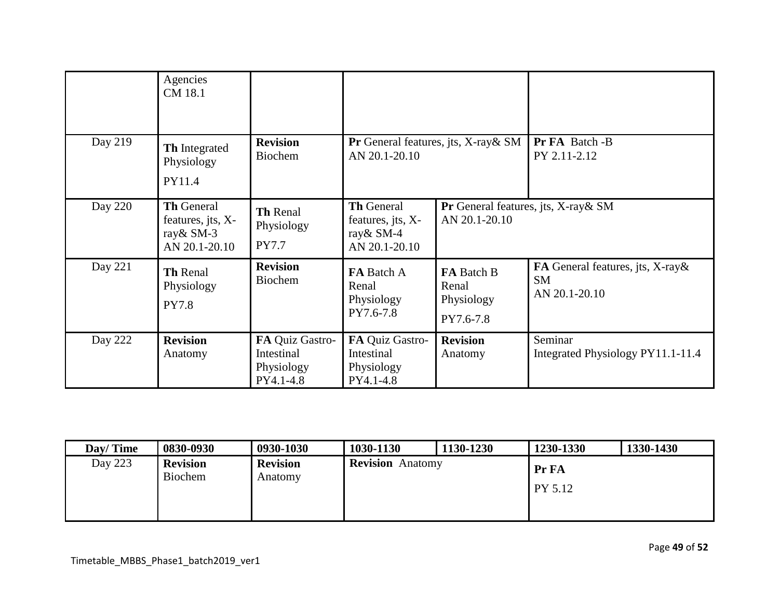|         | Agencies<br>CM 18.1                                                   |                                                          |                                                                       |                                                       |                                                                |
|---------|-----------------------------------------------------------------------|----------------------------------------------------------|-----------------------------------------------------------------------|-------------------------------------------------------|----------------------------------------------------------------|
| Day 219 | Th Integrated<br>Physiology<br>PY11.4                                 | <b>Revision</b><br><b>Biochem</b>                        | AN 20.1-20.10                                                         | <b>Pr</b> General features, jts, $X$ -ray $\&$ SM     | Pr FA Batch -B<br>PY 2.11-2.12                                 |
| Day 220 | <b>Th General</b><br>features, jts, X-<br>ray & SM-3<br>AN 20.1-20.10 | Th Renal<br>Physiology<br><b>PY7.7</b>                   | <b>Th General</b><br>features, jts, X-<br>ray & SM-4<br>AN 20.1-20.10 | Pr General features, jts, X-ray & SM<br>AN 20.1-20.10 |                                                                |
| Day 221 | Th Renal<br>Physiology<br><b>PY7.8</b>                                | <b>Revision</b><br><b>Biochem</b>                        | FA Batch A<br>Renal<br>Physiology<br>PY7.6-7.8                        | FA Batch B<br>Renal<br>Physiology<br>PY7.6-7.8        | FA General features, jts, X-ray&<br><b>SM</b><br>AN 20.1-20.10 |
| Day 222 | <b>Revision</b><br>Anatomy                                            | FA Quiz Gastro-<br>Intestinal<br>Physiology<br>PY4.1-4.8 | FA Quiz Gastro-<br>Intestinal<br>Physiology<br>PY4.1-4.8              | <b>Revision</b><br>Anatomy                            | Seminar<br>Integrated Physiology PY11.1-11.4                   |

| Day/Time | 0830-0930                  | 0930-1030                  | 1030-1130               | 1130-1230 | 1230-1330        | 1330-1430 |
|----------|----------------------------|----------------------------|-------------------------|-----------|------------------|-----------|
| Day 223  | <b>Revision</b><br>Biochem | <b>Revision</b><br>Anatomv | <b>Revision</b> Anatomy |           | Pr FA<br>PY 5.12 |           |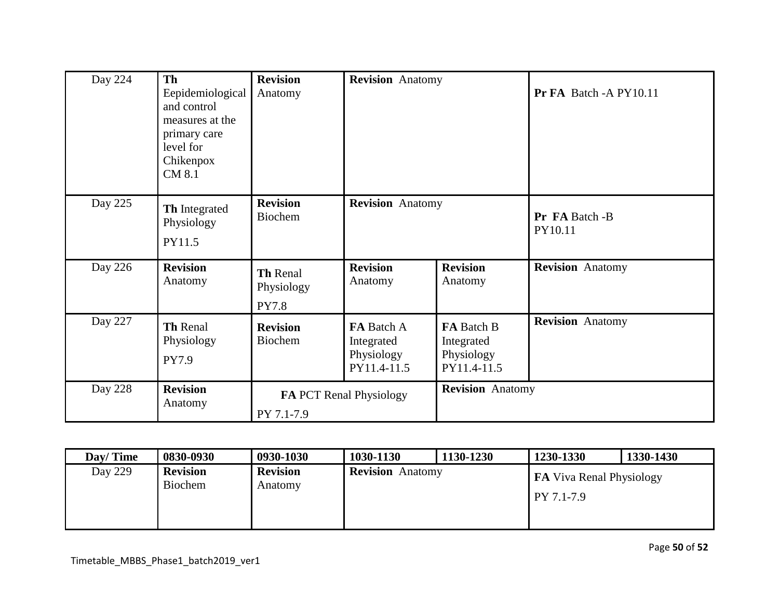| Day 224        | Th<br>Eepidemiological<br>and control<br>measures at the<br>primary care<br>level for<br>Chikenpox<br>CM 8.1 | <b>Revision</b><br>Anatomy                   | <b>Revision</b> Anatomy                               |                                                       | Pr FA Batch - A PY10.11   |
|----------------|--------------------------------------------------------------------------------------------------------------|----------------------------------------------|-------------------------------------------------------|-------------------------------------------------------|---------------------------|
| Day 225        | Th Integrated<br>Physiology<br>PY11.5                                                                        | <b>Revision</b><br>Biochem                   | <b>Revision</b> Anatomy                               |                                                       | Pr FA Batch -B<br>PY10.11 |
| Day 226        | <b>Revision</b><br>Anatomy                                                                                   | Th Renal<br>Physiology<br><b>PY7.8</b>       | <b>Revision</b><br>Anatomy                            | <b>Revision</b><br>Anatomy                            | <b>Revision</b> Anatomy   |
| Day 227        | Th Renal<br>Physiology<br>PY7.9                                                                              | <b>Revision</b><br>Biochem                   | FA Batch A<br>Integrated<br>Physiology<br>PY11.4-11.5 | FA Batch B<br>Integrated<br>Physiology<br>PY11.4-11.5 | <b>Revision</b> Anatomy   |
| <b>Day 228</b> | <b>Revision</b><br>Anatomy                                                                                   | <b>FA PCT Renal Physiology</b><br>PY 7.1-7.9 |                                                       | <b>Revision</b> Anatomy                               |                           |

| Day/Time | 0830-0930                         | 0930-1030                  | 1030-1130               | 1130-1230 | 1230-1330                                     | 1330-1430 |
|----------|-----------------------------------|----------------------------|-------------------------|-----------|-----------------------------------------------|-----------|
| Day 229  | <b>Revision</b><br><b>Biochem</b> | <b>Revision</b><br>Anatomy | <b>Revision</b> Anatomy |           | <b>FA</b> Viva Renal Physiology<br>PY 7.1-7.9 |           |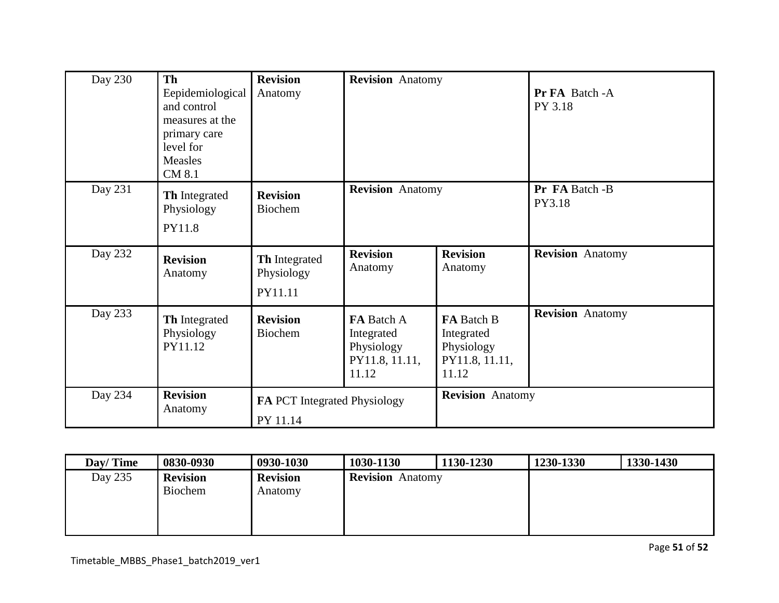| Day 230 | <b>Th</b><br>Eepidemiological<br>and control<br>measures at the<br>primary care<br>level for<br>Measles<br>CM 8.1 | <b>Revision</b><br>Anatomy                      | <b>Revision</b> Anatomy                                           |                                                                   | Pr FA Batch - A<br>PY 3.18 |
|---------|-------------------------------------------------------------------------------------------------------------------|-------------------------------------------------|-------------------------------------------------------------------|-------------------------------------------------------------------|----------------------------|
| Day 231 | Th Integrated<br>Physiology<br>PY11.8                                                                             | <b>Revision</b><br>Biochem                      | <b>Revision</b> Anatomy                                           |                                                                   | Pr FA Batch -B<br>PY3.18   |
| Day 232 | <b>Revision</b><br>Anatomy                                                                                        | Th Integrated<br>Physiology<br>PY11.11          | <b>Revision</b><br>Anatomy                                        | <b>Revision</b><br>Anatomy                                        | <b>Revision</b> Anatomy    |
| Day 233 | Th Integrated<br>Physiology<br>PY11.12                                                                            | <b>Revision</b><br>Biochem                      | FA Batch A<br>Integrated<br>Physiology<br>PY11.8, 11.11,<br>11.12 | FA Batch B<br>Integrated<br>Physiology<br>PY11.8, 11.11,<br>11.12 | <b>Revision</b> Anatomy    |
| Day 234 | <b>Revision</b><br>Anatomy                                                                                        | <b>FA PCT</b> Integrated Physiology<br>PY 11.14 |                                                                   | <b>Revision</b> Anatomy                                           |                            |

| Day/Time | 0830-0930                  | 0930-1030                  | 1030-1130                  | 1130-1230 | 1230-1330 | 1330-1430 |
|----------|----------------------------|----------------------------|----------------------------|-----------|-----------|-----------|
| Day 235  | <b>Revision</b><br>Biochem | <b>Revision</b><br>Anatomy | <b>Revision</b><br>Anatomy |           |           |           |